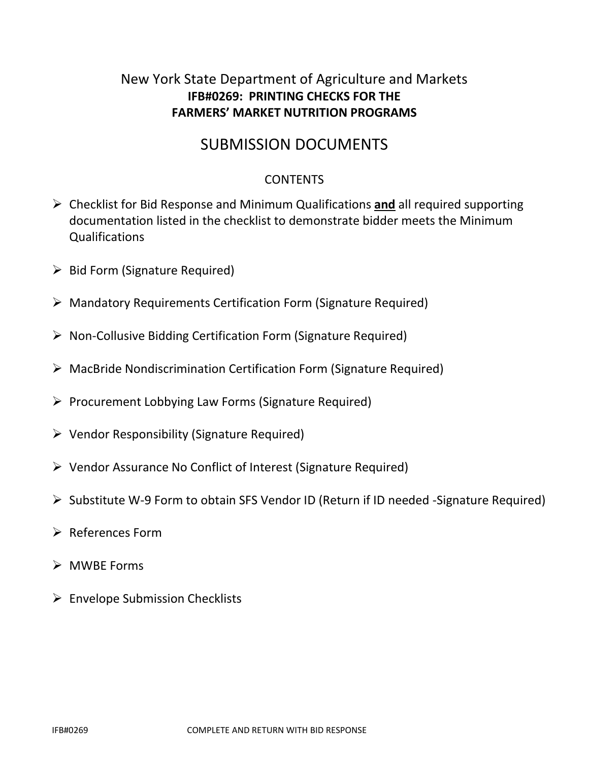# New York State Department of Agriculture and Markets **IFB#0269: PRINTING CHECKS FOR THE FARMERS' MARKET NUTRITION PROGRAMS**

# SUBMISSION DOCUMENTS

## **CONTENTS**

- ➢ Checklist for Bid Response and Minimum Qualifications **and** all required supporting documentation listed in the checklist to demonstrate bidder meets the Minimum Qualifications
- ➢ Bid Form (Signature Required)
- ➢ Mandatory Requirements Certification Form (Signature Required)
- ➢ Non-Collusive Bidding Certification Form (Signature Required)
- ➢ MacBride Nondiscrimination Certification Form (Signature Required)
- ➢ Procurement Lobbying Law Forms (Signature Required)
- ➢ Vendor Responsibility (Signature Required)
- ➢ Vendor Assurance No Conflict of Interest (Signature Required)
- ➢ Substitute W-9 Form to obtain SFS Vendor ID (Return if ID needed -Signature Required)
- ➢ References Form
- ➢ MWBE Forms
- ➢ Envelope Submission Checklists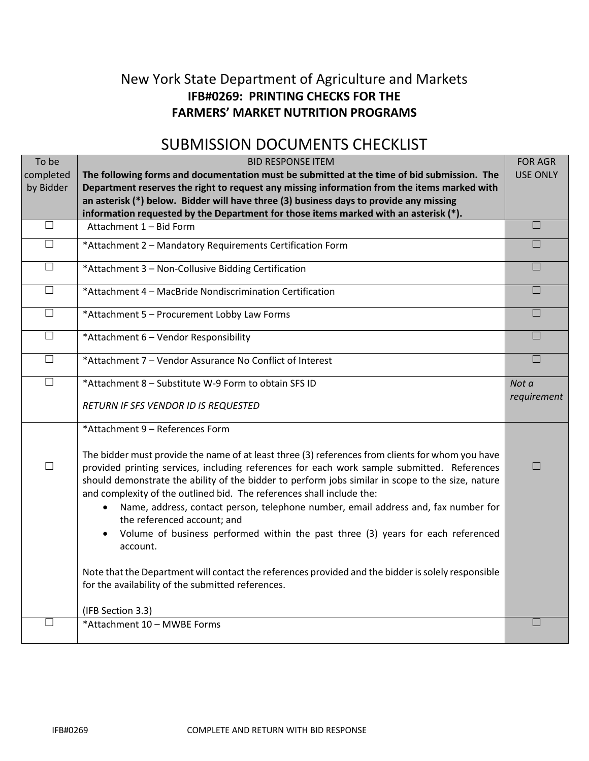# New York State Department of Agriculture and Markets **IFB#0269: PRINTING CHECKS FOR THE FARMERS' MARKET NUTRITION PROGRAMS**

# SUBMISSION DOCUMENTS CHECKLIST

| To be     | <b>BID RESPONSE ITEM</b>                                                                                                       | <b>FOR AGR</b>  |
|-----------|--------------------------------------------------------------------------------------------------------------------------------|-----------------|
| completed | The following forms and documentation must be submitted at the time of bid submission. The                                     | <b>USE ONLY</b> |
| by Bidder | Department reserves the right to request any missing information from the items marked with                                    |                 |
|           | an asterisk (*) below. Bidder will have three (3) business days to provide any missing                                         |                 |
|           | information requested by the Department for those items marked with an asterisk (*).                                           |                 |
| $\Box$    | Attachment 1 - Bid Form                                                                                                        | П               |
| $\Box$    | *Attachment 2 - Mandatory Requirements Certification Form                                                                      | $\Box$          |
| $\Box$    | *Attachment 3 - Non-Collusive Bidding Certification                                                                            | П               |
| $\Box$    | *Attachment 4 - MacBride Nondiscrimination Certification                                                                       | $\Box$          |
| $\Box$    | *Attachment 5 - Procurement Lobby Law Forms                                                                                    | I.              |
| $\Box$    | *Attachment 6 - Vendor Responsibility                                                                                          | П               |
| $\Box$    | *Attachment 7 - Vendor Assurance No Conflict of Interest                                                                       | П               |
| $\Box$    | *Attachment 8 - Substitute W-9 Form to obtain SFS ID                                                                           | Not a           |
|           |                                                                                                                                | requirement     |
|           | RETURN IF SFS VENDOR ID IS REQUESTED                                                                                           |                 |
|           | *Attachment 9 - References Form                                                                                                |                 |
|           |                                                                                                                                |                 |
|           | The bidder must provide the name of at least three (3) references from clients for whom you have                               |                 |
| $\Box$    | provided printing services, including references for each work sample submitted. References                                    | П               |
|           | should demonstrate the ability of the bidder to perform jobs similar in scope to the size, nature                              |                 |
|           | and complexity of the outlined bid. The references shall include the:                                                          |                 |
|           | Name, address, contact person, telephone number, email address and, fax number for<br>$\bullet$<br>the referenced account; and |                 |
|           | Volume of business performed within the past three (3) years for each referenced<br>$\bullet$<br>account.                      |                 |
|           | Note that the Department will contact the references provided and the bidder is solely responsible                             |                 |
|           | for the availability of the submitted references.                                                                              |                 |
|           | (IFB Section 3.3)                                                                                                              |                 |
| $\Box$    | *Attachment 10 - MWBE Forms                                                                                                    | ⊔               |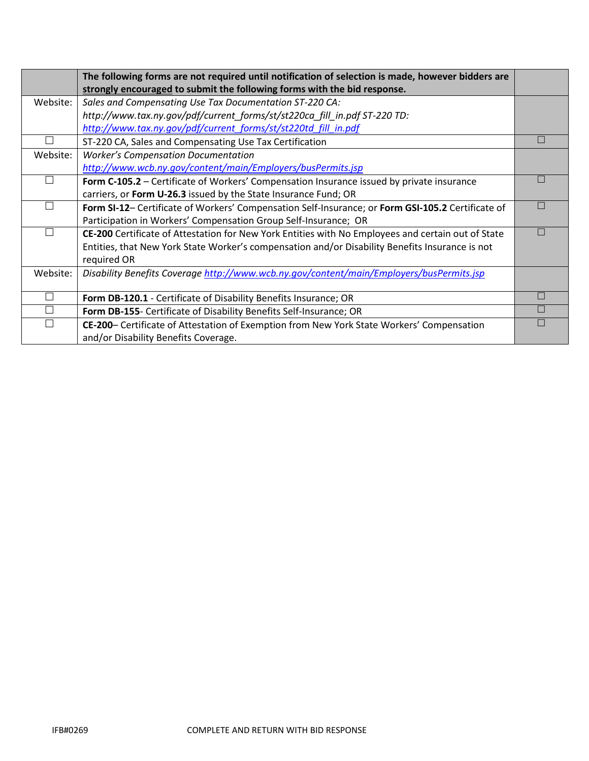|               | The following forms are not required until notification of selection is made, however bidders are  |  |
|---------------|----------------------------------------------------------------------------------------------------|--|
|               | strongly encouraged to submit the following forms with the bid response.                           |  |
| Website:      | Sales and Compensating Use Tax Documentation ST-220 CA:                                            |  |
|               | http://www.tax.ny.gov/pdf/current_forms/st/st220ca_fill_in.pdf ST-220 TD:                          |  |
|               | http://www.tax.ny.gov/pdf/current_forms/st/st220td_fill_in.pdf                                     |  |
|               | ST-220 CA, Sales and Compensating Use Tax Certification                                            |  |
| Website:      | <b>Worker's Compensation Documentation</b>                                                         |  |
|               | http://www.wcb.ny.gov/content/main/Employers/busPermits.jsp                                        |  |
|               | Form C-105.2 – Certificate of Workers' Compensation Insurance issued by private insurance          |  |
|               | carriers, or Form U-26.3 issued by the State Insurance Fund; OR                                    |  |
|               | Form SI-12- Certificate of Workers' Compensation Self-Insurance; or Form GSI-105.2 Certificate of  |  |
|               | Participation in Workers' Compensation Group Self-Insurance; OR                                    |  |
|               | CE-200 Certificate of Attestation for New York Entities with No Employees and certain out of State |  |
|               | Entities, that New York State Worker's compensation and/or Disability Benefits Insurance is not    |  |
|               | required OR                                                                                        |  |
| Website:      | Disability Benefits Coverage http://www.wcb.ny.gov/content/main/Employers/busPermits.jsp           |  |
|               |                                                                                                    |  |
| $\mathcal{L}$ | Form DB-120.1 - Certificate of Disability Benefits Insurance; OR                                   |  |
|               | Form DB-155- Certificate of Disability Benefits Self-Insurance; OR                                 |  |
|               | CE-200- Certificate of Attestation of Exemption from New York State Workers' Compensation          |  |
|               | and/or Disability Benefits Coverage.                                                               |  |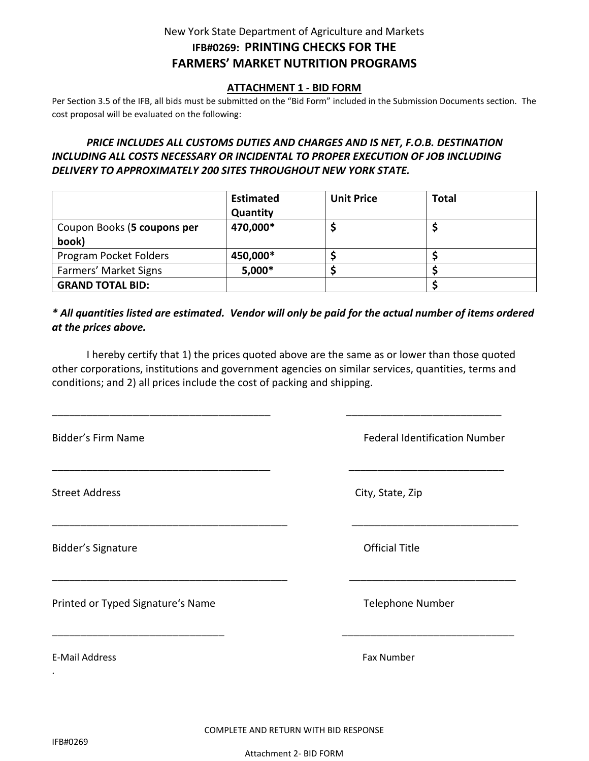## New York State Department of Agriculture and Markets **IFB#0269: PRINTING CHECKS FOR THE FARMERS' MARKET NUTRITION PROGRAMS**

#### **ATTACHMENT 1 - BID FORM**

Per Section 3.5 of the IFB, all bids must be submitted on the "Bid Form" included in the Submission Documents section. The cost proposal will be evaluated on the following:

### *PRICE INCLUDES ALL CUSTOMS DUTIES AND CHARGES AND IS NET, F.O.B. DESTINATION INCLUDING ALL COSTS NECESSARY OR INCIDENTAL TO PROPER EXECUTION OF JOB INCLUDING DELIVERY TO APPROXIMATELY 200 SITES THROUGHOUT NEW YORK STATE.*

|                                      | <b>Estimated</b><br>Quantity | <b>Unit Price</b> | <b>Total</b> |  |
|--------------------------------------|------------------------------|-------------------|--------------|--|
| Coupon Books (5 coupons per<br>book) | 470,000*                     |                   |              |  |
| Program Pocket Folders               | 450,000*                     |                   |              |  |
| Farmers' Market Signs                | $5,000*$                     |                   |              |  |
| <b>GRAND TOTAL BID:</b>              |                              |                   |              |  |

### *\* All quantities listed are estimated. Vendor will only be paid for the actual number of items ordered at the prices above.*

I hereby certify that 1) the prices quoted above are the same as or lower than those quoted other corporations, institutions and government agencies on similar services, quantities, terms and conditions; and 2) all prices include the cost of packing and shipping.

\_\_\_\_\_\_\_\_\_\_\_\_\_\_\_\_\_\_\_\_\_\_\_\_\_\_\_\_\_\_\_\_\_\_\_\_\_\_ \_\_\_\_\_\_\_\_\_\_\_\_\_\_\_\_\_\_\_\_\_\_\_\_\_\_\_

\_\_\_\_\_\_\_\_\_\_\_\_\_\_\_\_\_\_\_\_\_\_\_\_\_\_\_\_\_\_\_\_\_\_\_\_\_\_ \_\_\_\_\_\_\_\_\_\_\_\_\_\_\_\_\_\_\_\_\_\_\_\_\_\_\_

\_\_\_\_\_\_\_\_\_\_\_\_\_\_\_\_\_\_\_\_\_\_\_\_\_\_\_\_\_\_\_\_\_\_\_\_\_\_\_\_\_ \_\_\_\_\_\_\_\_\_\_\_\_\_\_\_\_\_\_\_\_\_\_\_\_\_\_\_\_\_

\_\_\_\_\_\_\_\_\_\_\_\_\_\_\_\_\_\_\_\_\_\_\_\_\_\_\_\_\_\_\_\_\_\_\_\_\_\_\_\_\_ \_\_\_\_\_\_\_\_\_\_\_\_\_\_\_\_\_\_\_\_\_\_\_\_\_\_\_\_\_

\_\_\_\_\_\_\_\_\_\_\_\_\_\_\_\_\_\_\_\_\_\_\_\_\_\_\_\_\_\_ \_\_\_\_\_\_\_\_\_\_\_\_\_\_\_\_\_\_\_\_\_\_\_\_\_\_\_\_\_\_

Street Address City, State, Zip

Bidder's Signature **Contract Contract Contract Contract Contract Contract Contract Contract Contract Contract Contract Contract Contract Contract Contract Contract Contract Contract Contract Contract Contract Contract Cont** 

Printed or Typed Signature's Name Telephone Number

E-Mail Address Fax Number

Bidder's Firm Name Federal Identification Number

COMPLETE AND RETURN WITH BID RESPONSE

.

Attachment 2- BID FORM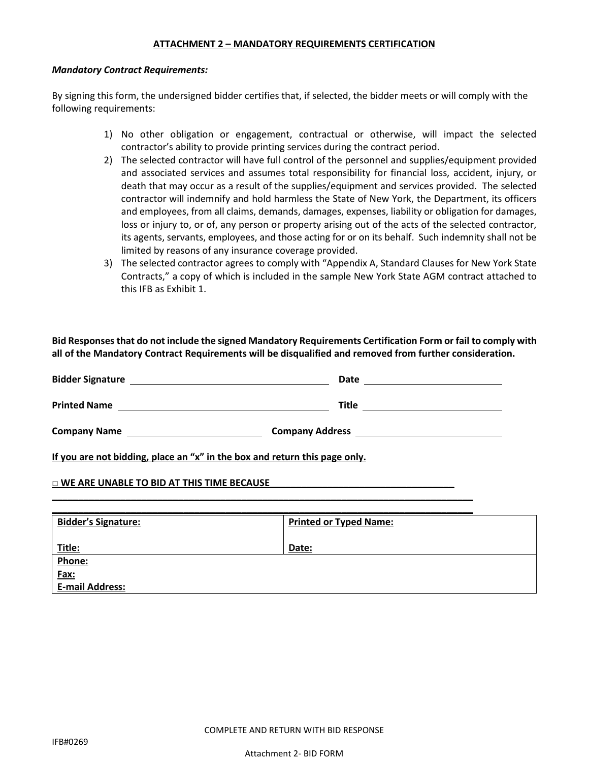#### **ATTACHMENT 2 – MANDATORY REQUIREMENTS CERTIFICATION**

#### *Mandatory Contract Requirements:*

By signing this form, the undersigned bidder certifies that, if selected, the bidder meets or will comply with the following requirements:

- 1) No other obligation or engagement, contractual or otherwise, will impact the selected contractor's ability to provide printing services during the contract period.
- 2) The selected contractor will have full control of the personnel and supplies/equipment provided and associated services and assumes total responsibility for financial loss, accident, injury, or death that may occur as a result of the supplies/equipment and services provided. The selected contractor will indemnify and hold harmless the State of New York, the Department, its officers and employees, from all claims, demands, damages, expenses, liability or obligation for damages, loss or injury to, or of, any person or property arising out of the acts of the selected contractor, its agents, servants, employees, and those acting for or on its behalf. Such indemnity shall not be limited by reasons of any insurance coverage provided.
- 3) The selected contractor agrees to comply with "Appendix A, Standard Clauses for New York State Contracts," a copy of which is included in the sample New York State AGM contract attached to this IFB as Exhibit 1.

**Bid Responses that do not include the signed Mandatory Requirements Certification Form or fail to comply with all of the Mandatory Contract Requirements will be disqualified and removed from further consideration.**

| <b>Bidder Signature</b> | Date                   |
|-------------------------|------------------------|
| <b>Printed Name</b>     | <b>Title</b>           |
| <b>Company Name</b>     | <b>Company Address</b> |

**\_\_\_\_\_\_\_\_\_\_\_\_\_\_\_\_\_\_\_\_\_\_\_\_\_\_\_\_\_\_\_\_\_\_\_\_\_\_\_\_\_\_\_\_\_\_\_\_\_\_\_\_\_\_\_\_\_\_\_\_\_\_\_\_\_\_\_\_\_\_\_\_\_\_\_\_\_\_\_\_**

**If you are not bidding, place an "x" in the box and return this page only.**

#### **□ WE ARE UNABLE TO BID AT THIS TIME BECAUSE\_\_\_\_\_\_\_\_\_\_\_\_\_\_\_\_\_\_\_\_\_\_\_\_\_\_\_\_\_\_\_\_\_\_\_**

| <b>Bidder's Signature:</b> | <b>Printed or Typed Name:</b> |
|----------------------------|-------------------------------|
|                            |                               |
|                            |                               |
| <u>Title:</u>              | Date:                         |
| Phone:                     |                               |
| Fax:                       |                               |
| <b>E-mail Address:</b>     |                               |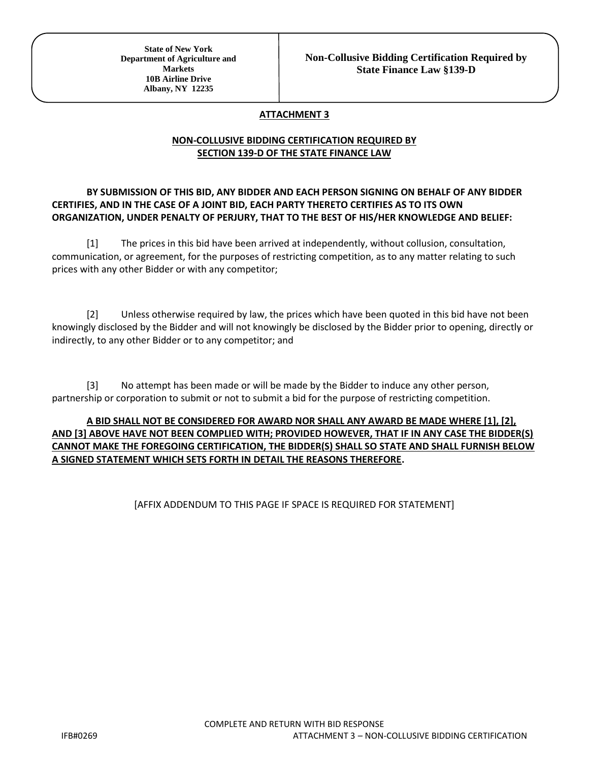#### **ATTACHMENT 3**

#### **NON-COLLUSIVE BIDDING CERTIFICATION REQUIRED BY SECTION 139-D OF THE STATE FINANCE LAW**

#### **BY SUBMISSION OF THIS BID, ANY BIDDER AND EACH PERSON SIGNING ON BEHALF OF ANY BIDDER CERTIFIES, AND IN THE CASE OF A JOINT BID, EACH PARTY THERETO CERTIFIES AS TO ITS OWN ORGANIZATION, UNDER PENALTY OF PERJURY, THAT TO THE BEST OF HIS/HER KNOWLEDGE AND BELIEF:**

[1] The prices in this bid have been arrived at independently, without collusion, consultation, communication, or agreement, for the purposes of restricting competition, as to any matter relating to such prices with any other Bidder or with any competitor;

[2] Unless otherwise required by law, the prices which have been quoted in this bid have not been knowingly disclosed by the Bidder and will not knowingly be disclosed by the Bidder prior to opening, directly or indirectly, to any other Bidder or to any competitor; and

[3] No attempt has been made or will be made by the Bidder to induce any other person, partnership or corporation to submit or not to submit a bid for the purpose of restricting competition.

#### **A BID SHALL NOT BE CONSIDERED FOR AWARD NOR SHALL ANY AWARD BE MADE WHERE [1], [2], AND [3] ABOVE HAVE NOT BEEN COMPLIED WITH; PROVIDED HOWEVER, THAT IF IN ANY CASE THE BIDDER(S) CANNOT MAKE THE FOREGOING CERTIFICATION, THE BIDDER(S) SHALL SO STATE AND SHALL FURNISH BELOW A SIGNED STATEMENT WHICH SETS FORTH IN DETAIL THE REASONS THEREFORE.**

#### [AFFIX ADDENDUM TO THIS PAGE IF SPACE IS REQUIRED FOR STATEMENT]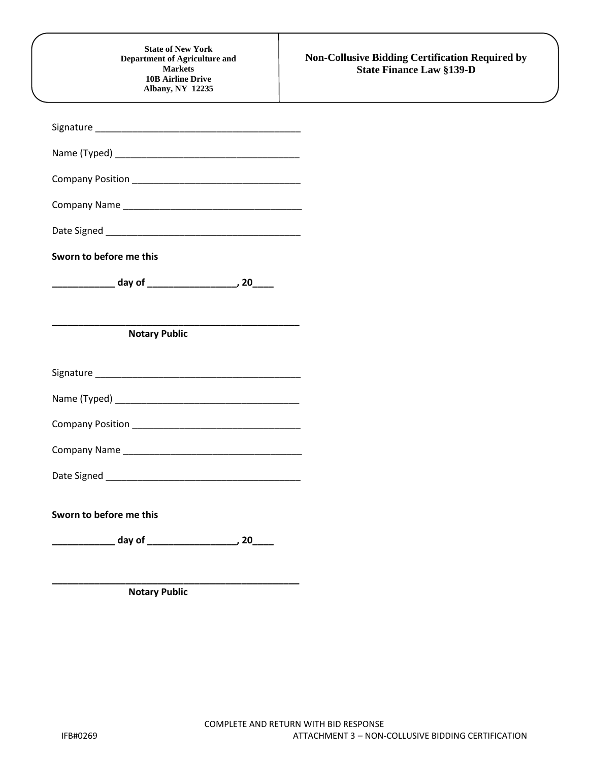| Sworn to before me this<br><b>Notary Public</b><br>Date Signed Management and Contract and Contract of the Contract of the Contract of the Contract of the Contract of the Contract of the Contract of the Contract of the Contract of the Contract of the Contract of the Contra<br>Sworn to before me this | <b>Non-Collusive Bidding Certification Required by</b><br><b>State Finance Law §139-D</b> | <b>State of New York</b><br><b>Department of Agriculture and</b><br><b>Markets</b><br><b>10B Airline Drive</b><br><b>Albany, NY 12235</b> |
|--------------------------------------------------------------------------------------------------------------------------------------------------------------------------------------------------------------------------------------------------------------------------------------------------------------|-------------------------------------------------------------------------------------------|-------------------------------------------------------------------------------------------------------------------------------------------|
|                                                                                                                                                                                                                                                                                                              |                                                                                           |                                                                                                                                           |
|                                                                                                                                                                                                                                                                                                              |                                                                                           |                                                                                                                                           |
|                                                                                                                                                                                                                                                                                                              |                                                                                           |                                                                                                                                           |
|                                                                                                                                                                                                                                                                                                              |                                                                                           |                                                                                                                                           |
|                                                                                                                                                                                                                                                                                                              |                                                                                           |                                                                                                                                           |
|                                                                                                                                                                                                                                                                                                              |                                                                                           |                                                                                                                                           |
|                                                                                                                                                                                                                                                                                                              |                                                                                           |                                                                                                                                           |
|                                                                                                                                                                                                                                                                                                              |                                                                                           |                                                                                                                                           |
|                                                                                                                                                                                                                                                                                                              |                                                                                           |                                                                                                                                           |
|                                                                                                                                                                                                                                                                                                              |                                                                                           |                                                                                                                                           |
|                                                                                                                                                                                                                                                                                                              |                                                                                           |                                                                                                                                           |
|                                                                                                                                                                                                                                                                                                              |                                                                                           |                                                                                                                                           |
|                                                                                                                                                                                                                                                                                                              |                                                                                           |                                                                                                                                           |
|                                                                                                                                                                                                                                                                                                              |                                                                                           |                                                                                                                                           |
|                                                                                                                                                                                                                                                                                                              |                                                                                           |                                                                                                                                           |
|                                                                                                                                                                                                                                                                                                              |                                                                                           |                                                                                                                                           |

 **Notary Public**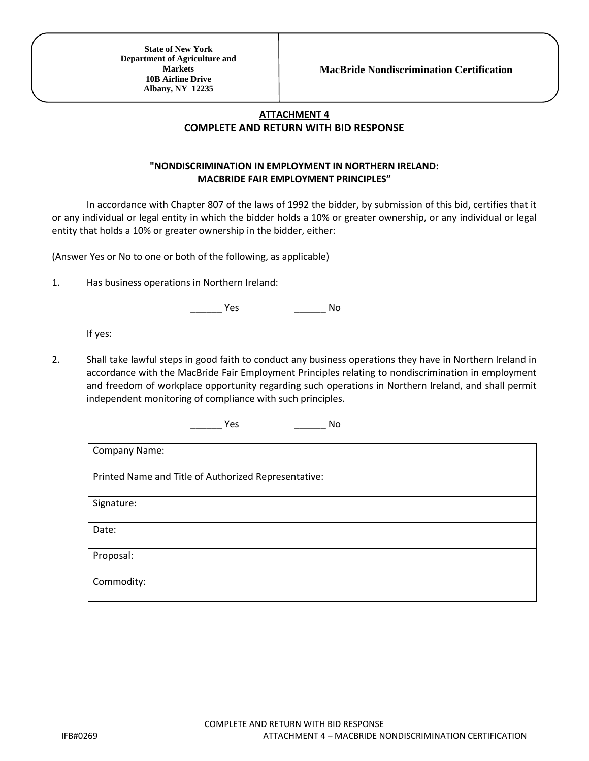### **ATTACHMENT 4 COMPLETE AND RETURN WITH BID RESPONSE**

#### **"NONDISCRIMINATION IN EMPLOYMENT IN NORTHERN IRELAND: MACBRIDE FAIR EMPLOYMENT PRINCIPLES"**

In accordance with Chapter 807 of the laws of 1992 the bidder, by submission of this bid, certifies that it or any individual or legal entity in which the bidder holds a 10% or greater ownership, or any individual or legal entity that holds a 10% or greater ownership in the bidder, either:

(Answer Yes or No to one or both of the following, as applicable)

1. Has business operations in Northern Ireland:

\_\_\_\_\_\_ Yes \_\_\_\_\_\_ No

If yes:

2. Shall take lawful steps in good faith to conduct any business operations they have in Northern Ireland in accordance with the MacBride Fair Employment Principles relating to nondiscrimination in employment and freedom of workplace opportunity regarding such operations in Northern Ireland, and shall permit independent monitoring of compliance with such principles.

\_\_\_\_\_\_ Yes \_\_\_\_\_\_ No

| Company Name:                                        |
|------------------------------------------------------|
|                                                      |
|                                                      |
| Printed Name and Title of Authorized Representative: |
|                                                      |
| Signature:                                           |
|                                                      |
|                                                      |
| Date:                                                |
|                                                      |
| Proposal:                                            |
|                                                      |
|                                                      |
| Commodity:                                           |
|                                                      |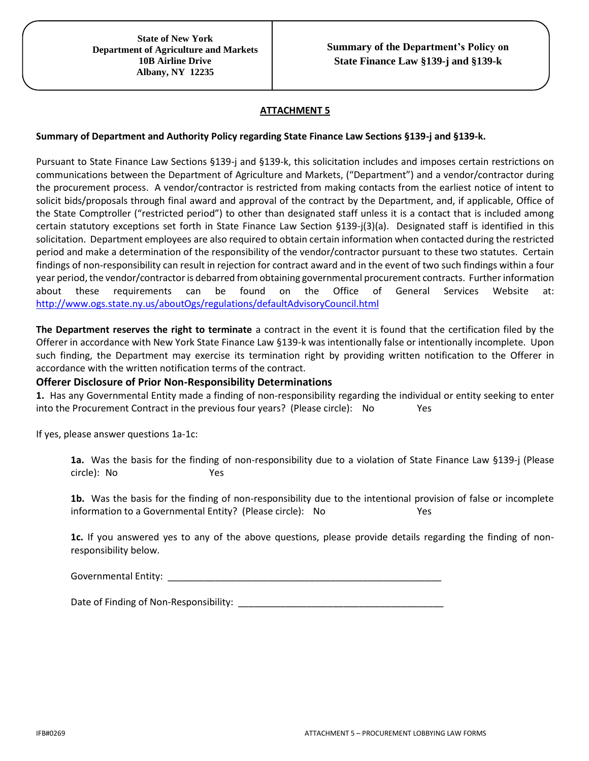#### **ATTACHMENT 5**

#### **Summary of Department and Authority Policy regarding State Finance Law Sections §139-j and §139-k.**

Pursuant to State Finance Law Sections §139-j and §139-k, this solicitation includes and imposes certain restrictions on communications between the Department of Agriculture and Markets, ("Department") and a vendor/contractor during the procurement process. A vendor/contractor is restricted from making contacts from the earliest notice of intent to solicit bids/proposals through final award and approval of the contract by the Department, and, if applicable, Office of the State Comptroller ("restricted period") to other than designated staff unless it is a contact that is included among certain statutory exceptions set forth in State Finance Law Section §139-j(3)(a). Designated staff is identified in this solicitation. Department employees are also required to obtain certain information when contacted during the restricted period and make a determination of the responsibility of the vendor/contractor pursuant to these two statutes. Certain findings of non-responsibility can result in rejection for contract award and in the event of two such findings within a four year period, the vendor/contractor is debarred from obtaining governmental procurement contracts. Further information about these requirements can be found on the Office of General Services Website at: <http://www.ogs.state.ny.us/aboutOgs/regulations/defaultAdvisoryCouncil.html>

**The Department reserves the right to terminate** a contract in the event it is found that the certification filed by the Offerer in accordance with New York State Finance Law §139-k was intentionally false or intentionally incomplete. Upon such finding, the Department may exercise its termination right by providing written notification to the Offerer in accordance with the written notification terms of the contract.

#### **Offerer Disclosure of Prior Non-Responsibility Determinations**

**1.** Has any Governmental Entity made a finding of non-responsibility regarding the individual or entity seeking to enter into the Procurement Contract in the previous four years? (Please circle): No Yes

If yes, please answer questions 1a-1c:

**1a.** Was the basis for the finding of non-responsibility due to a violation of State Finance Law §139-j (Please circle): No Yes

**1b.** Was the basis for the finding of non-responsibility due to the intentional provision of false or incomplete information to a Governmental Entity? (Please circle): No Yes

**1c.** If you answered yes to any of the above questions, please provide details regarding the finding of nonresponsibility below.

Governmental Entity:

Date of Finding of Non-Responsibility: \_\_\_\_\_\_\_\_\_\_\_\_\_\_\_\_\_\_\_\_\_\_\_\_\_\_\_\_\_\_\_\_\_\_\_\_\_\_\_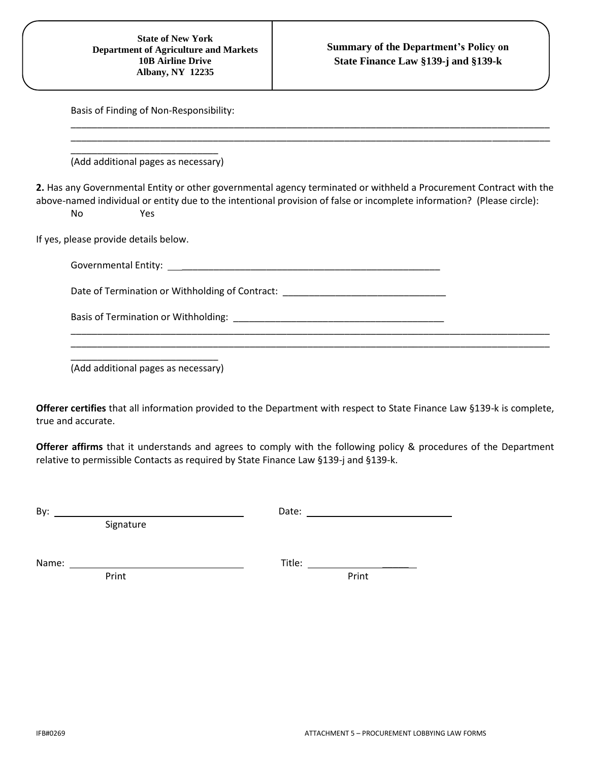| <b>State of New York</b><br><b>Department of Agriculture and Markets</b><br><b>10B Airline Drive</b><br><b>Albany, NY 12235</b> | <b>Summary of the Department's Policy on</b><br>State Finance Law §139-j and §139-k                                                                                                                                                          |
|---------------------------------------------------------------------------------------------------------------------------------|----------------------------------------------------------------------------------------------------------------------------------------------------------------------------------------------------------------------------------------------|
| Basis of Finding of Non-Responsibility:                                                                                         |                                                                                                                                                                                                                                              |
| (Add additional pages as necessary)                                                                                             |                                                                                                                                                                                                                                              |
| <b>No</b><br>Yes                                                                                                                | 2. Has any Governmental Entity or other governmental agency terminated or withheld a Procurement Contract with the<br>above-named individual or entity due to the intentional provision of false or incomplete information? (Please circle): |
| If yes, please provide details below.                                                                                           |                                                                                                                                                                                                                                              |
|                                                                                                                                 |                                                                                                                                                                                                                                              |
| Date of Termination or Withholding of Contract: Dental Controller Contract of Termination or Withholding of Contract:           |                                                                                                                                                                                                                                              |
|                                                                                                                                 |                                                                                                                                                                                                                                              |
|                                                                                                                                 |                                                                                                                                                                                                                                              |

(Add additional pages as necessary)

**Offerer certifies** that all information provided to the Department with respect to State Finance Law §139-k is complete, true and accurate.

**Offerer affirms** that it understands and agrees to comply with the following policy & procedures of the Department relative to permissible Contacts as required by State Finance Law §139-j and §139-k.

By: Date:

Signature

Name: Title: \_\_\_\_\_

Print Print Print Print Print Print Print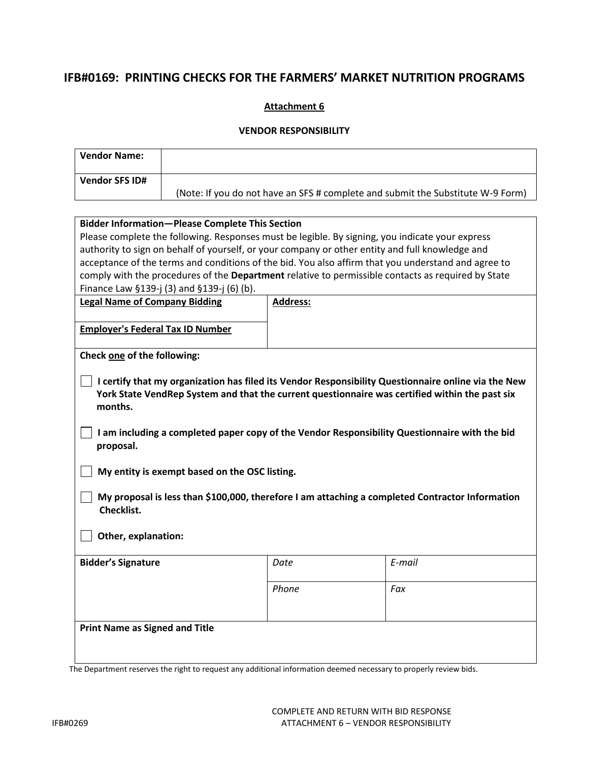## **IFB#0169: PRINTING CHECKS FOR THE FARMERS' MARKET NUTRITION PROGRAMS**

#### **Attachment 6**

#### **VENDOR RESPONSIBILITY**

| <b>Vendor Name:</b>                                                                                           |                                                                                                                                                                                                                                                                                                        |                                                                                                 |                                                                                                     |  |
|---------------------------------------------------------------------------------------------------------------|--------------------------------------------------------------------------------------------------------------------------------------------------------------------------------------------------------------------------------------------------------------------------------------------------------|-------------------------------------------------------------------------------------------------|-----------------------------------------------------------------------------------------------------|--|
| <b>Vendor SFS ID#</b>                                                                                         |                                                                                                                                                                                                                                                                                                        |                                                                                                 |                                                                                                     |  |
|                                                                                                               |                                                                                                                                                                                                                                                                                                        |                                                                                                 | (Note: If you do not have an SFS # complete and submit the Substitute W-9 Form)                     |  |
|                                                                                                               |                                                                                                                                                                                                                                                                                                        |                                                                                                 |                                                                                                     |  |
|                                                                                                               | <b>Bidder Information-Please Complete This Section</b>                                                                                                                                                                                                                                                 |                                                                                                 |                                                                                                     |  |
|                                                                                                               |                                                                                                                                                                                                                                                                                                        | Please complete the following. Responses must be legible. By signing, you indicate your express |                                                                                                     |  |
|                                                                                                               |                                                                                                                                                                                                                                                                                                        | authority to sign on behalf of yourself, or your company or other entity and full knowledge and |                                                                                                     |  |
|                                                                                                               |                                                                                                                                                                                                                                                                                                        |                                                                                                 | acceptance of the terms and conditions of the bid. You also affirm that you understand and agree to |  |
|                                                                                                               |                                                                                                                                                                                                                                                                                                        |                                                                                                 | comply with the procedures of the Department relative to permissible contacts as required by State  |  |
|                                                                                                               | Finance Law §139-j (3) and §139-j (6) (b).                                                                                                                                                                                                                                                             |                                                                                                 |                                                                                                     |  |
| <b>Legal Name of Company Bidding</b>                                                                          |                                                                                                                                                                                                                                                                                                        | Address:                                                                                        |                                                                                                     |  |
|                                                                                                               |                                                                                                                                                                                                                                                                                                        |                                                                                                 |                                                                                                     |  |
| <b>Employer's Federal Tax ID Number</b>                                                                       |                                                                                                                                                                                                                                                                                                        |                                                                                                 |                                                                                                     |  |
|                                                                                                               |                                                                                                                                                                                                                                                                                                        |                                                                                                 |                                                                                                     |  |
| Check one of the following:                                                                                   |                                                                                                                                                                                                                                                                                                        |                                                                                                 |                                                                                                     |  |
| months.<br>proposal.                                                                                          | I certify that my organization has filed its Vendor Responsibility Questionnaire online via the New<br>York State VendRep System and that the current questionnaire was certified within the past six<br>I am including a completed paper copy of the Vendor Responsibility Questionnaire with the bid |                                                                                                 |                                                                                                     |  |
|                                                                                                               | My entity is exempt based on the OSC listing.                                                                                                                                                                                                                                                          |                                                                                                 |                                                                                                     |  |
| My proposal is less than \$100,000, therefore I am attaching a completed Contractor Information<br>Checklist. |                                                                                                                                                                                                                                                                                                        |                                                                                                 |                                                                                                     |  |
| Other, explanation:                                                                                           |                                                                                                                                                                                                                                                                                                        |                                                                                                 |                                                                                                     |  |
| <b>Bidder's Signature</b>                                                                                     |                                                                                                                                                                                                                                                                                                        | Date                                                                                            | E-mail                                                                                              |  |
|                                                                                                               |                                                                                                                                                                                                                                                                                                        | Phone                                                                                           | Fax                                                                                                 |  |
| <b>Print Name as Signed and Title</b>                                                                         |                                                                                                                                                                                                                                                                                                        |                                                                                                 |                                                                                                     |  |

The Department reserves the right to request any additional information deemed necessary to properly review bids.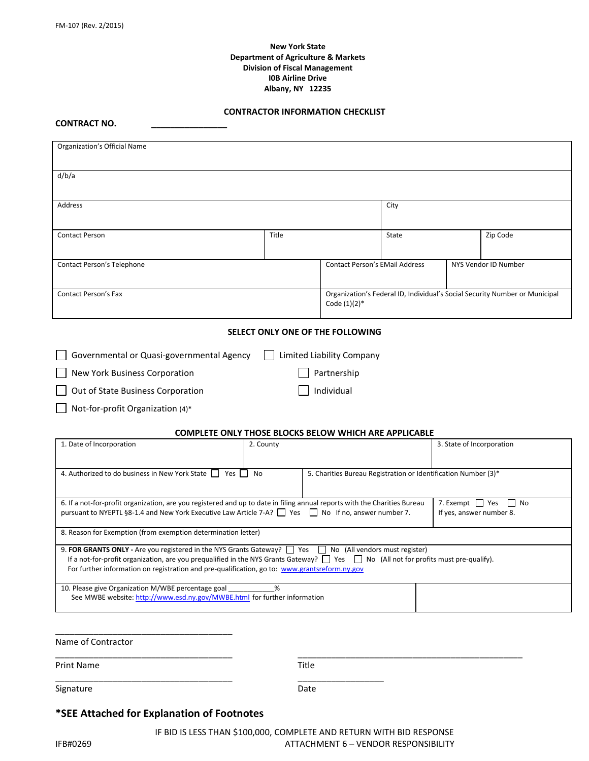#### **New York State Department of Agriculture & Markets Division of Fiscal Management I0B Airline Drive Albany, NY 12235**

#### **CONTRACTOR INFORMATION CHECKLIST**

**CONTRACT NO. \_\_\_\_\_\_\_\_\_\_\_\_\_\_\_\_**

| Organization's Official Name                                                                                                                                                                                                                                                                                                                                           |           |                                       |       |                                             |                                                                             |
|------------------------------------------------------------------------------------------------------------------------------------------------------------------------------------------------------------------------------------------------------------------------------------------------------------------------------------------------------------------------|-----------|---------------------------------------|-------|---------------------------------------------|-----------------------------------------------------------------------------|
| d/b/a                                                                                                                                                                                                                                                                                                                                                                  |           |                                       |       |                                             |                                                                             |
| <b>Address</b>                                                                                                                                                                                                                                                                                                                                                         |           |                                       | City  |                                             |                                                                             |
| <b>Contact Person</b>                                                                                                                                                                                                                                                                                                                                                  | Title     |                                       | State |                                             | Zip Code                                                                    |
| Contact Person's Telephone                                                                                                                                                                                                                                                                                                                                             |           | <b>Contact Person's EMail Address</b> |       |                                             | NYS Vendor ID Number                                                        |
| <b>Contact Person's Fax</b>                                                                                                                                                                                                                                                                                                                                            |           | Code $(1)(2)^*$                       |       |                                             | Organization's Federal ID, Individual's Social Security Number or Municipal |
|                                                                                                                                                                                                                                                                                                                                                                        |           | SELECT ONLY ONE OF THE FOLLOWING      |       |                                             |                                                                             |
| Governmental or Quasi-governmental Agency                                                                                                                                                                                                                                                                                                                              |           | Limited Liability Company             |       |                                             |                                                                             |
| New York Business Corporation                                                                                                                                                                                                                                                                                                                                          |           | Partnership                           |       |                                             |                                                                             |
| Out of State Business Corporation                                                                                                                                                                                                                                                                                                                                      |           | Individual                            |       |                                             |                                                                             |
| Not-for-profit Organization (4)*                                                                                                                                                                                                                                                                                                                                       |           |                                       |       |                                             |                                                                             |
| <b>COMPLETE ONLY THOSE BLOCKS BELOW WHICH ARE APPLICABLE</b>                                                                                                                                                                                                                                                                                                           |           |                                       |       |                                             |                                                                             |
| 1. Date of Incorporation                                                                                                                                                                                                                                                                                                                                               | 2. County |                                       |       | 3. State of Incorporation                   |                                                                             |
| 4. Authorized to do business in New York State 7 Yes<br>5. Charities Bureau Registration or Identification Number (3)*<br>No                                                                                                                                                                                                                                           |           |                                       |       |                                             |                                                                             |
| 6. If a not-for-profit organization, are you registered and up to date in filing annual reports with the Charities Bureau<br>pursuant to NYEPTL §8-1.4 and New York Executive Law Article 7-A? Tres Train No If no, answer number 7.                                                                                                                                   |           |                                       |       | 7. Exempt □ Yes<br>If yes, answer number 8. | $\Box$ No                                                                   |
| 8. Reason for Exemption (from exemption determination letter)                                                                                                                                                                                                                                                                                                          |           |                                       |       |                                             |                                                                             |
| 9. FOR GRANTS ONLY - Are you registered in the NYS Grants Gateway? $\Box$ Yes $\Box$ No (All vendors must register)<br>If a not-for-profit organization, are you prequalified in the NYS Grants Gateway? $\Box$ Yes $\Box$ No (All not for profits must pre-qualify).<br>For further information on registration and pre-qualification, go to: www.grantsreform.ny.gov |           |                                       |       |                                             |                                                                             |
| 10. Please give Organization M/WBE percentage goal<br>See MWBE website: http://www.esd.ny.gov/MWBE.html for further information                                                                                                                                                                                                                                        | %         |                                       |       |                                             |                                                                             |
|                                                                                                                                                                                                                                                                                                                                                                        |           |                                       |       |                                             |                                                                             |

| Print Name | Title                      |
|------------|----------------------------|
| Signature  | __________________<br>Date |

#### **\*SEE Attached for Explanation of Footnotes**

\_\_\_\_\_\_\_\_\_\_\_\_\_\_\_\_\_\_\_\_\_\_\_\_\_\_\_\_\_\_\_\_\_\_\_\_\_

IF BID IS LESS THAN \$100,000, COMPLETE AND RETURN WITH BID RESPONSE IFB#0269 **ATTACHMENT 6 – VENDOR RESPONSIBILITY** 

Name of Contractor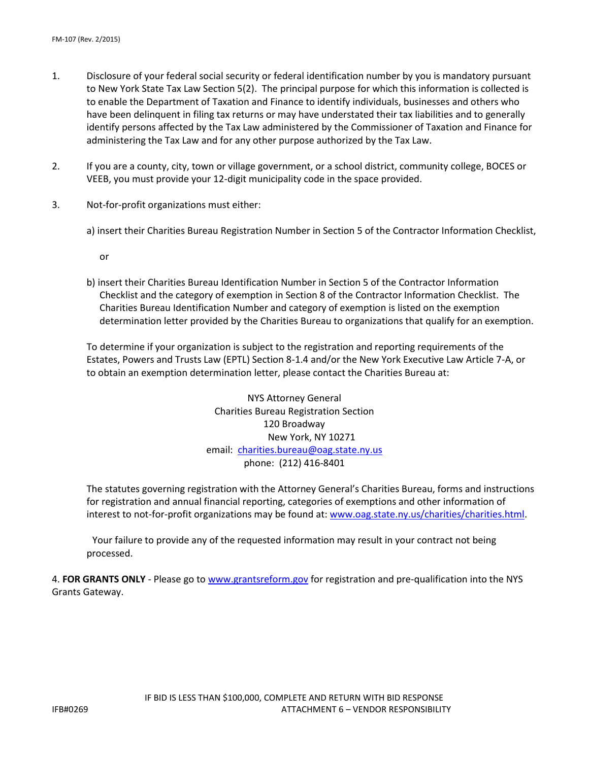- 1. Disclosure of your federal social security or federal identification number by you is mandatory pursuant to New York State Tax Law Section 5(2). The principal purpose for which this information is collected is to enable the Department of Taxation and Finance to identify individuals, businesses and others who have been delinquent in filing tax returns or may have understated their tax liabilities and to generally identify persons affected by the Tax Law administered by the Commissioner of Taxation and Finance for administering the Tax Law and for any other purpose authorized by the Tax Law.
- 2. If you are a county, city, town or village government, or a school district, community college, BOCES or VEEB, you must provide your 12-digit municipality code in the space provided.
- 3. Not-for-profit organizations must either:
	- a) insert their Charities Bureau Registration Number in Section 5 of the Contractor Information Checklist,
		- or
	- b) insert their Charities Bureau Identification Number in Section 5 of the Contractor Information Checklist and the category of exemption in Section 8 of the Contractor Information Checklist. The Charities Bureau Identification Number and category of exemption is listed on the exemption determination letter provided by the Charities Bureau to organizations that qualify for an exemption.

To determine if your organization is subject to the registration and reporting requirements of the Estates, Powers and Trusts Law (EPTL) Section 8-1.4 and/or the New York Executive Law Article 7-A, or to obtain an exemption determination letter, please contact the Charities Bureau at:

> NYS Attorney General Charities Bureau Registration Section 120 Broadway New York, NY 10271 email: [charities.bureau@oag.state.ny.us](mailto:charities.bureau@oag.state.ny.us) phone: (212) 416-8401

The statutes governing registration with the Attorney General's Charities Bureau, forms and instructions for registration and annual financial reporting, categories of exemptions and other information of interest to not-for-profit organizations may be found at: [www.oag.state.ny.us/charities/charities.html.](http://www.oag.state.ny.us/charities/charities.html)

Your failure to provide any of the requested information may result in your contract not being processed.

4. **FOR GRANTS ONLY** - Please go to [www.grantsreform.gov](http://www.grantsreform.gov/) for registration and pre-qualification into the NYS Grants Gateway.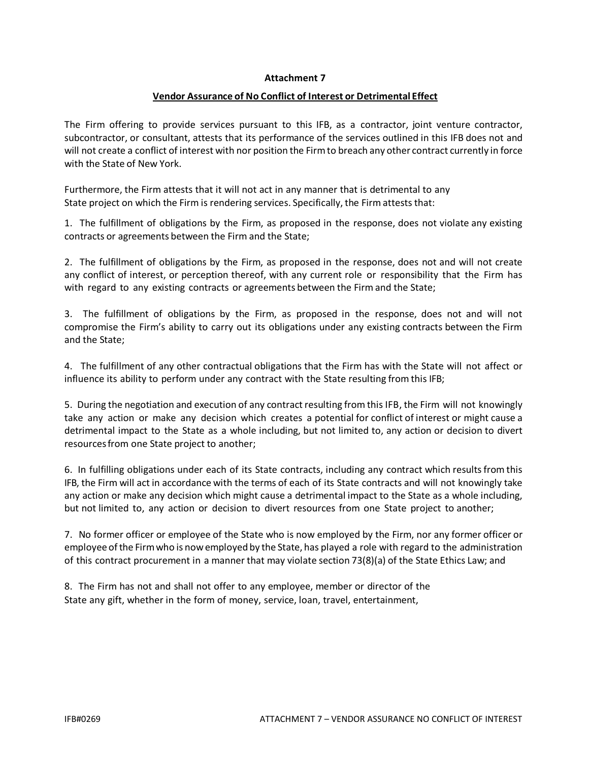#### **Attachment 7**

#### **Vendor Assurance of No Conflict of Interest or Detrimental Effect**

The Firm offering to provide services pursuant to this IFB, as a contractor, joint venture contractor, subcontractor, or consultant, attests that its performance of the services outlined in this IFB does not and will not create a conflict of interest with nor position the Firmto breach any other contract currently in force with the State of New York.

Furthermore, the Firm attests that it will not act in any manner that is detrimental to any State project on which the Firm is rendering services. Specifically, the Firm attests that:

1. The fulfillment of obligations by the Firm, as proposed in the response, does not violate any existing contracts or agreements between the Firm and the State;

2. The fulfillment of obligations by the Firm, as proposed in the response, does not and will not create any conflict of interest, or perception thereof, with any current role or responsibility that the Firm has with regard to any existing contracts or agreements between the Firm and the State;

3. The fulfillment of obligations by the Firm, as proposed in the response, does not and will not compromise the Firm's ability to carry out its obligations under any existing contracts between the Firm and the State;

4. The fulfillment of any other contractual obligations that the Firm has with the State will not affect or influence its ability to perform under any contract with the State resulting from this IFB;

5. During the negotiation and execution of any contract resulting from this IFB, the Firm will not knowingly take any action or make any decision which creates a potential for conflict of interest or might cause a detrimental impact to the State as a whole including, but not limited to, any action or decision to divert resourcesfrom one State project to another;

6. In fulfilling obligations under each of its State contracts, including any contract which resultsfrom this IFB, the Firm will act in accordance with the terms of each of its State contracts and will not knowingly take any action or make any decision which might cause a detrimental impact to the State as a whole including, but not limited to, any action or decision to divert resources from one State project to another;

7. No former officer or employee of the State who is now employed by the Firm, nor any former officer or employee ofthe Firmwho is now employed by the State, has played a role with regard to the administration of this contract procurement in a manner that may violate section 73(8)(a) of the State Ethics Law; and

8. The Firm has not and shall not offer to any employee, member or director of the State any gift, whether in the form of money, service, loan, travel, entertainment,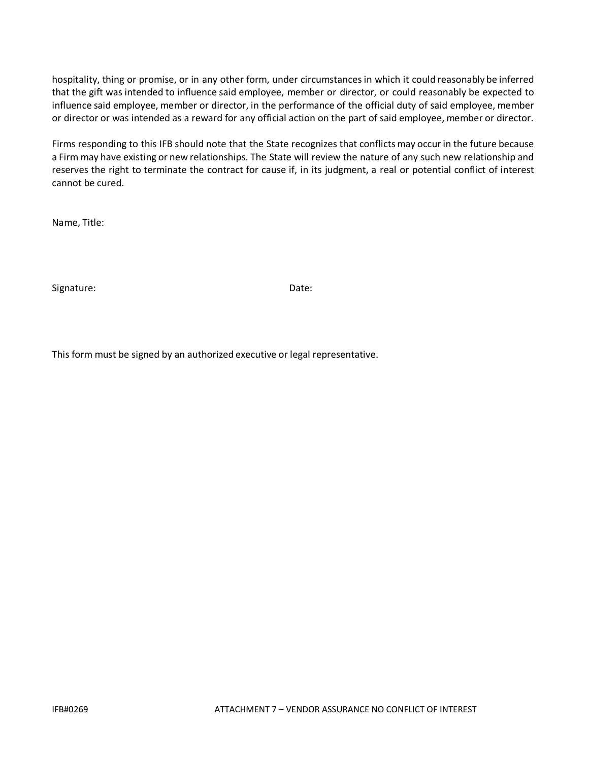hospitality, thing or promise, or in any other form, under circumstancesin which it could reasonably be inferred that the gift was intended to influence said employee, member or director, or could reasonably be expected to influence said employee, member or director, in the performance of the official duty of said employee, member or director or was intended as a reward for any official action on the part of said employee, member or director.

Firms responding to this IFB should note that the State recognizes that conflictsmay occur in the future because a Firm may have existing or new relationships. The State will review the nature of any such new relationship and reserves the right to terminate the contract for cause if, in its judgment, a real or potential conflict of interest cannot be cured.

Name, Title:

Signature: Date: Date: Date: Date: Date: Date: Date: Date: Date: Date: Date: Date: Date: Date: Date: Date: Date:  $\sim$ 

This form must be signed by an authorized executive or legal representative.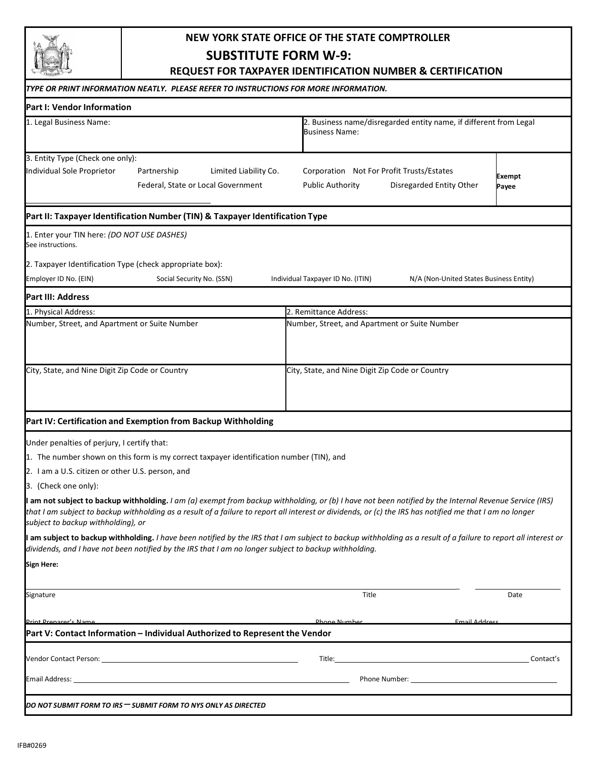# **NEW YORK STATE OFFICE OF THE STATE COMPTROLLER**

**SUBSTITUTE FORM W-9:**

**REQUEST FOR TAXPAYER IDENTIFICATION NUMBER & CERTIFICATION**

| TYPE OR PRINT INFORMATION NEATLY.  PLEASE REFER TO INSTRUCTIONS FOR MORE INFORMATION.                                                                                                                                                                                                                                                                                                                                                                                                                                                                                                  |                                                                                                  |                        |
|----------------------------------------------------------------------------------------------------------------------------------------------------------------------------------------------------------------------------------------------------------------------------------------------------------------------------------------------------------------------------------------------------------------------------------------------------------------------------------------------------------------------------------------------------------------------------------------|--------------------------------------------------------------------------------------------------|------------------------|
| Part I: Vendor Information                                                                                                                                                                                                                                                                                                                                                                                                                                                                                                                                                             |                                                                                                  |                        |
| 1. Legal Business Name:                                                                                                                                                                                                                                                                                                                                                                                                                                                                                                                                                                | 2. Business name/disregarded entity name, if different from Legal<br><b>Business Name:</b>       |                        |
| 3. Entity Type (Check one only):<br>Individual Sole Proprietor<br>Limited Liability Co.<br>Partnership<br>Federal, State or Local Government                                                                                                                                                                                                                                                                                                                                                                                                                                           | Corporation Not For Profit Trusts/Estates<br><b>Public Authority</b><br>Disregarded Entity Other | <b>Exempt</b><br>Payee |
| Part II: Taxpayer Identification Number (TIN) & Taxpayer Identification Type                                                                                                                                                                                                                                                                                                                                                                                                                                                                                                           |                                                                                                  |                        |
| 1. Enter your TIN here: (DO NOT USE DASHES)<br>See instructions.                                                                                                                                                                                                                                                                                                                                                                                                                                                                                                                       |                                                                                                  |                        |
| 2. Taxpayer Identification Type (check appropriate box):                                                                                                                                                                                                                                                                                                                                                                                                                                                                                                                               |                                                                                                  |                        |
| Employer ID No. (EIN)<br>Social Security No. (SSN)                                                                                                                                                                                                                                                                                                                                                                                                                                                                                                                                     | Individual Taxpayer ID No. (ITIN)<br>N/A (Non-United States Business Entity)                     |                        |
| Part III: Address                                                                                                                                                                                                                                                                                                                                                                                                                                                                                                                                                                      |                                                                                                  |                        |
| 1. Physical Address:                                                                                                                                                                                                                                                                                                                                                                                                                                                                                                                                                                   | 2. Remittance Address:                                                                           |                        |
| Number, Street, and Apartment or Suite Number                                                                                                                                                                                                                                                                                                                                                                                                                                                                                                                                          | Number, Street, and Apartment or Suite Number                                                    |                        |
| City, State, and Nine Digit Zip Code or Country                                                                                                                                                                                                                                                                                                                                                                                                                                                                                                                                        | City, State, and Nine Digit Zip Code or Country                                                  |                        |
| Part IV: Certification and Exemption from Backup Withholding                                                                                                                                                                                                                                                                                                                                                                                                                                                                                                                           |                                                                                                  |                        |
| Under penalties of perjury, I certify that:<br>1. The number shown on this form is my correct taxpayer identification number (TIN), and<br>2. I am a U.S. citizen or other U.S. person, and<br>3. (Check one only):<br><b>I am not subject to backup withholding.</b> I am (a) exempt from backup withholding, or (b) I have not been notified by the Internal Revenue Service (IRS)<br>that I am subject to backup withholding as a result of a failure to report all interest or dividends, or (c) the IRS has notified me that I am no longer<br>subject to backup withholding), or |                                                                                                  |                        |
| I am subject to backup withholding. I have been notified by the IRS that I am subject to backup withholding as a result of a failure to report all interest or<br>dividends, and I have not been notified by the IRS that I am no longer subject to backup withholding.<br>Sign Here:                                                                                                                                                                                                                                                                                                  |                                                                                                  |                        |
| Signature                                                                                                                                                                                                                                                                                                                                                                                                                                                                                                                                                                              | Title                                                                                            | Date                   |
| <u> Print Prenarer's Name</u><br>Part V: Contact Information - Individual Authorized to Represent the Vendor                                                                                                                                                                                                                                                                                                                                                                                                                                                                           | Phone Number<br><b>Email Address</b>                                                             |                        |
|                                                                                                                                                                                                                                                                                                                                                                                                                                                                                                                                                                                        |                                                                                                  |                        |
|                                                                                                                                                                                                                                                                                                                                                                                                                                                                                                                                                                                        |                                                                                                  |                        |
|                                                                                                                                                                                                                                                                                                                                                                                                                                                                                                                                                                                        |                                                                                                  |                        |
| DO NOT SUBMIT FORM TO IRS — SUBMIT FORM TO NYS ONLY AS DIRECTED                                                                                                                                                                                                                                                                                                                                                                                                                                                                                                                        |                                                                                                  |                        |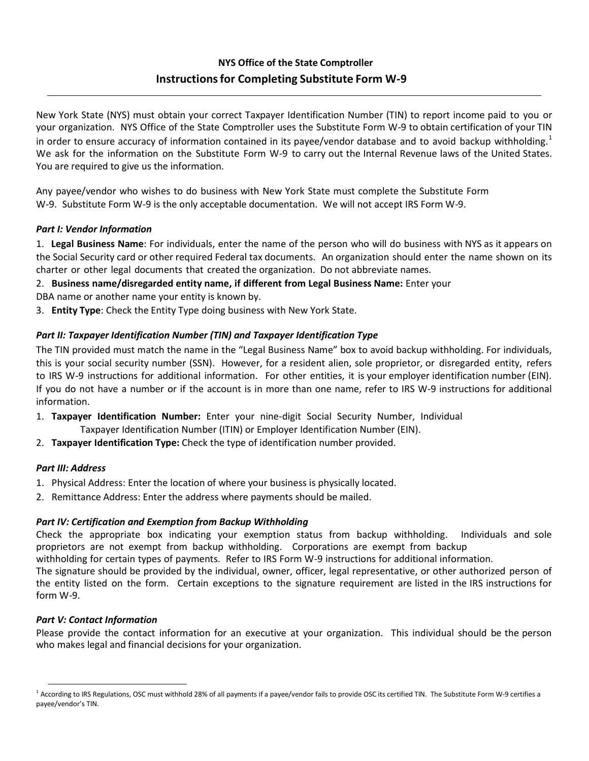## **NYS Office of the State Comptroller Instructionsfor Completing Substitute Form W-9**

New York State (NYS) must obtain your correct Taxpayer Identification Number (TIN) to report income paid to you or your organization. NYS Office of the State Comptroller uses the Substitute Form W-9 to obtain certification of your TIN in order to ensure accuracy of information contained in its payee/vendor database and to avoid backup withholding.<sup>1</sup> We ask for the information on the Substitute Form W-9 to carry out the Internal Revenue laws of the United States. You are required to give us the information.

Any payee/vendor who wishes to do business with New York State must complete the Substitute Form W-9. Substitute Form W-9 is the only acceptable documentation. We will not accept IRS Form W-9.

#### *Part I: Vendor Information*

1. **Legal Business Name**: For individuals, enter the name of the person who will do business with NYS as it appears on the Social Security card or other required Federal tax documents. An organization should enter the name shown on its charter or other legal documents that created the organization. Do not abbreviate names.

2. **Business name/disregarded entity name, if different from Legal Business Name:** Enter your

DBA name or another name your entity is known by.

3. **Entity Type**: Check the Entity Type doing business with New York State.

#### *Part II: Taxpayer Identification Number (TIN) and Taxpayer Identification Type*

The TIN provided must match the name in the "Legal Business Name" box to avoid backup withholding. For individuals, this is your social security number (SSN). However, for a resident alien, sole proprietor, or disregarded entity, refers to IRS W-9 instructions for additional information. For other entities, it is your employer identification number (EIN). If you do not have a number or if the account is in more than one name, refer to IRS W-9 instructions for additional information.

- 1. **Taxpayer Identification Number:** Enter your nine-digit Social Security Number, Individual Taxpayer Identification Number (ITIN) or Employer Identification Number (EIN).
- 2. **Taxpayer Identification Type:** Check the type of identification number provided.

#### *Part III: Address*

- 1. Physical Address: Enter the location of where your business is physically located.
- 2. Remittance Address: Enter the address where payments should be mailed.

#### *Part IV: Certification and Exemption from Backup Withholding*

Check the appropriate box indicating your exemption status from backup withholding. Individuals and sole proprietors are not exempt from backup withholding. Corporations are exempt from backup withholding for certain types of payments. Refer to IRS Form W-9 instructions for additional information. The signature should be provided by the individual, owner, officer, legal representative, or other authorized person of the entity listed on the form. Certain exceptions to the signature requirement are listed in the IRS instructions for form W-9.

#### *Part V: Contact Information*

Please provide the contact information for an executive at your organization. This individual should be the person who makes legal and financial decisions for your organization.

<sup>&</sup>lt;sup>1</sup> According to IRS Regulations, OSC must withhold 28% of all payments if a payee/vendor fails to provide OSC its certified TIN. The Substitute Form W-9 certifies a payee/vendor's TIN.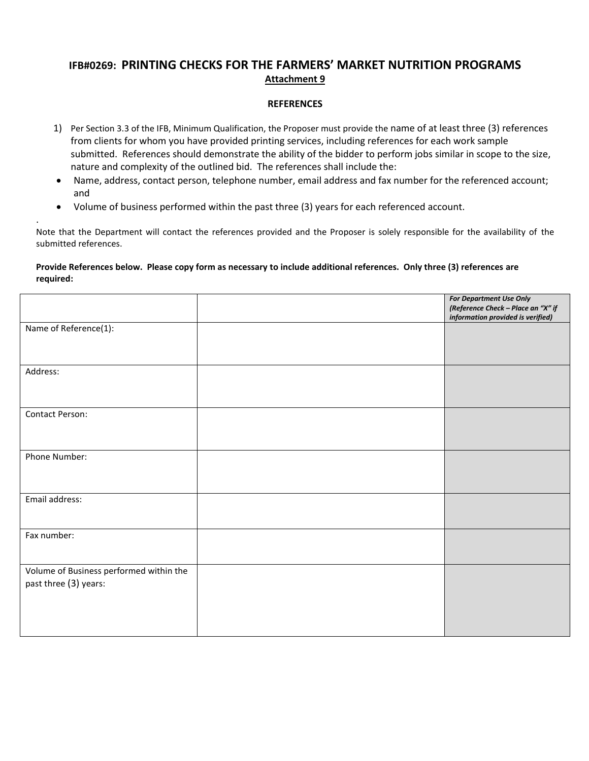## **IFB#0269: PRINTING CHECKS FOR THE FARMERS' MARKET NUTRITION PROGRAMS Attachment 9**

#### **REFERENCES**

- 1) Per Section 3.3 of the IFB, Minimum Qualification, the Proposer must provide the name of at least three (3) references from clients for whom you have provided printing services, including references for each work sample submitted. References should demonstrate the ability of the bidder to perform jobs similar in scope to the size, nature and complexity of the outlined bid. The references shall include the:
- Name, address, contact person, telephone number, email address and fax number for the referenced account; and
- Volume of business performed within the past three (3) years for each referenced account.

.

Note that the Department will contact the references provided and the Proposer is solely responsible for the availability of the submitted references.

#### **Provide References below. Please copy form as necessary to include additional references. Only three (3) references are required:**

|                                                                  | <b>For Department Use Only</b><br>(Reference Check - Place an "X" if<br>information provided is verified) |
|------------------------------------------------------------------|-----------------------------------------------------------------------------------------------------------|
| Name of Reference(1):                                            |                                                                                                           |
|                                                                  |                                                                                                           |
| Address:                                                         |                                                                                                           |
| Contact Person:                                                  |                                                                                                           |
| Phone Number:                                                    |                                                                                                           |
| Email address:                                                   |                                                                                                           |
| Fax number:                                                      |                                                                                                           |
| Volume of Business performed within the<br>past three (3) years: |                                                                                                           |
|                                                                  |                                                                                                           |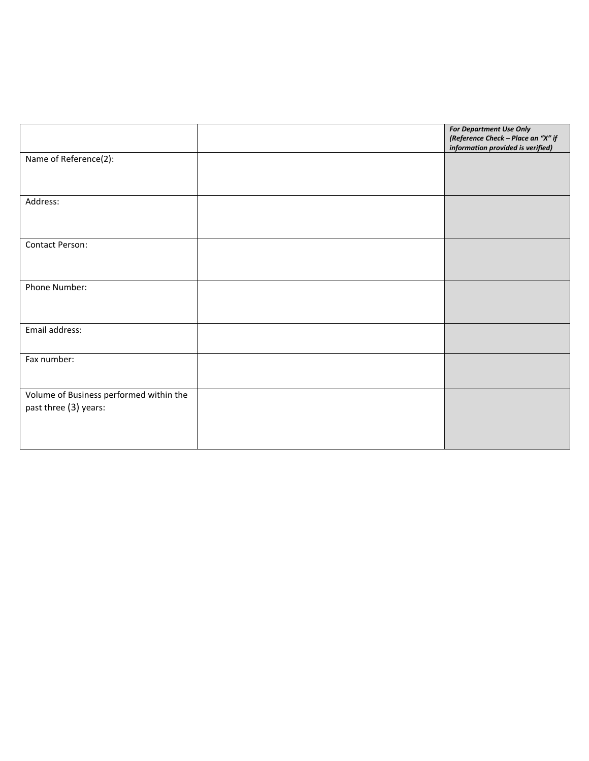|                                                                  | <b>For Department Use Only</b><br>(Reference Check - Place an "X" if<br>information provided is verified) |
|------------------------------------------------------------------|-----------------------------------------------------------------------------------------------------------|
| Name of Reference(2):                                            |                                                                                                           |
| Address:                                                         |                                                                                                           |
| Contact Person:                                                  |                                                                                                           |
| Phone Number:                                                    |                                                                                                           |
| Email address:                                                   |                                                                                                           |
| Fax number:                                                      |                                                                                                           |
| Volume of Business performed within the<br>past three (3) years: |                                                                                                           |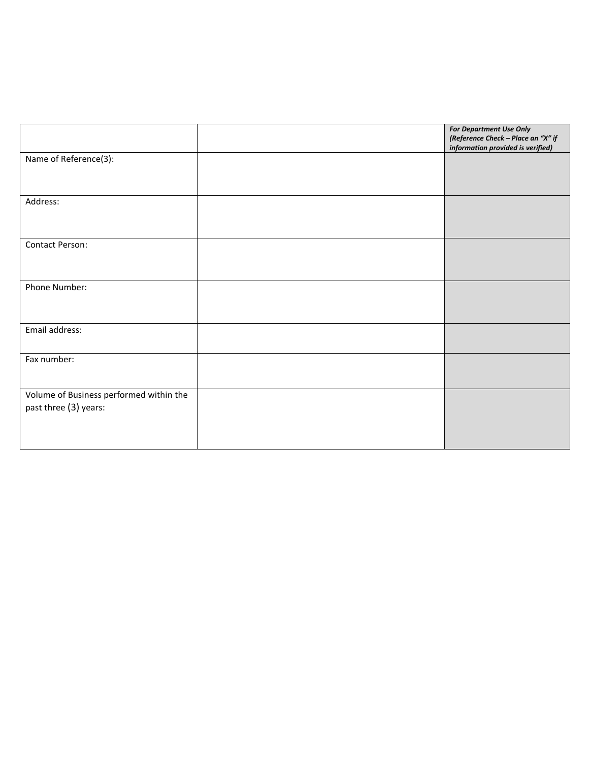|                                                                  | <b>For Department Use Only</b><br>(Reference Check - Place an "X" if<br>information provided is verified) |
|------------------------------------------------------------------|-----------------------------------------------------------------------------------------------------------|
| Name of Reference(3):                                            |                                                                                                           |
| Address:                                                         |                                                                                                           |
| Contact Person:                                                  |                                                                                                           |
| Phone Number:                                                    |                                                                                                           |
| Email address:                                                   |                                                                                                           |
| Fax number:                                                      |                                                                                                           |
| Volume of Business performed within the<br>past three (3) years: |                                                                                                           |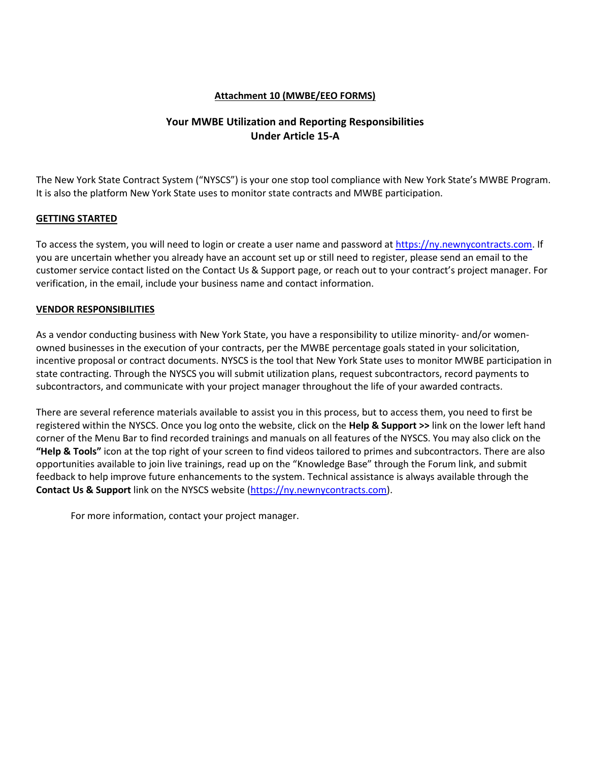#### **Attachment 10 (MWBE/EEO FORMS)**

### **Your MWBE Utilization and Reporting Responsibilities Under Article 15-A**

The New York State Contract System ("NYSCS") is your one stop tool compliance with New York State's MWBE Program. It is also the platform New York State uses to monitor state contracts and MWBE participation.

#### **GETTING STARTED**

To access the system, you will need to login or create a user name and password at [https://ny.newnycontracts.com.](https://ny.newnycontracts.com/) If you are uncertain whether you already have an account set up or still need to register, please send an email to the customer service contact listed on the Contact Us & Support page, or reach out to your contract's project manager. For verification, in the email, include your business name and contact information.

#### **VENDOR RESPONSIBILITIES**

As a vendor conducting business with New York State, you have a responsibility to utilize minority- and/or womenowned businesses in the execution of your contracts, per the MWBE percentage goals stated in your solicitation, incentive proposal or contract documents. NYSCS is the tool that New York State uses to monitor MWBE participation in state contracting. Through the NYSCS you will submit utilization plans, request subcontractors, record payments to subcontractors, and communicate with your project manager throughout the life of your awarded contracts.

There are several reference materials available to assist you in this process, but to access them, you need to first be registered within the NYSCS. Once you log onto the website, click on the **Help & Support >>** link on the lower left hand corner of the Menu Bar to find recorded trainings and manuals on all features of the NYSCS. You may also click on the **"Help & Tools"** icon at the top right of your screen to find videos tailored to primes and subcontractors. There are also opportunities available to join live trainings, read up on the "Knowledge Base" through the Forum link, and submit feedback to help improve future enhancements to the system. Technical assistance is always available through the **Contact Us & Support** link on the NYSCS website [\(https://ny.newnycontracts.com\)](https://ny.newnycontracts.com/).

For more information, contact your project manager.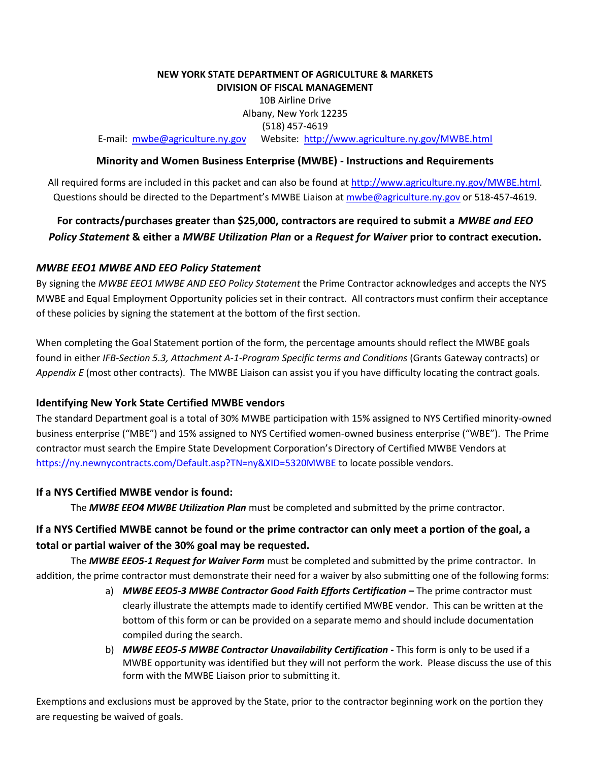#### **NEW YORK STATE DEPARTMENT OF AGRICULTURE & MARKETS DIVISION OF FISCAL MANAGEMENT**

10B Airline Drive Albany, New York 12235 (518) 457-4619

E-mail: [mwbe@agriculture.ny.gov](mailto:mwbe@agriculture.ny.gov) Website: <http://www.agriculture.ny.gov/MWBE.html>

#### **Minority and Women Business Enterprise (MWBE) - Instructions and Requirements**

All required forms are included in this packet and can also be found at [http://www.agriculture.ny.gov/MWBE.html.](http://www.agriculture.ny.gov/MWBE.html) Questions should be directed to the Department's MWBE Liaison at [mwbe@agriculture.ny.gov](mailto:mwbe@agriculture.ny.gov) or 518-457-4619.

## **For contracts/purchases greater than \$25,000, contractors are required to submit a** *MWBE and EEO Policy Statement* **& either a** *MWBE Utilization Plan* **or a** *Request for Waiver* **prior to contract execution.**

#### *MWBE EEO1 MWBE AND EEO Policy Statement*

By signing the *MWBE EEO1 MWBE AND EEO Policy Statement* the Prime Contractor acknowledges and accepts the NYS MWBE and Equal Employment Opportunity policies set in their contract. All contractors must confirm their acceptance of these policies by signing the statement at the bottom of the first section.

When completing the Goal Statement portion of the form, the percentage amounts should reflect the MWBE goals found in either *IFB-Section 5.3, Attachment A-1-Program Specific terms and Conditions* (Grants Gateway contracts) or *Appendix E* (most other contracts). The MWBE Liaison can assist you if you have difficulty locating the contract goals.

#### **Identifying New York State Certified MWBE vendors**

The standard Department goal is a total of 30% MWBE participation with 15% assigned to NYS Certified minority-owned business enterprise ("MBE") and 15% assigned to NYS Certified women-owned business enterprise ("WBE"). The Prime contractor must search the Empire State Development Corporation's Directory of Certified MWBE Vendors at <https://ny.newnycontracts.com/Default.asp?TN=ny&XID=5320MWBE> to locate possible vendors.

#### **If a NYS Certified MWBE vendor is found:**

The *MWBE EEO4 MWBE Utilization Plan* must be completed and submitted by the prime contractor.

## **If a NYS Certified MWBE cannot be found or the prime contractor can only meet a portion of the goal, a total or partial waiver of the 30% goal may be requested.**

The *MWBE EEO5-1 Request for Waiver Form* must be completed and submitted by the prime contractor. In addition, the prime contractor must demonstrate their need for a waiver by also submitting one of the following forms:

- a) *MWBE EEO5-3 MWBE Contractor Good Faith Efforts Certification* **–** The prime contractor must clearly illustrate the attempts made to identify certified MWBE vendor. This can be written at the bottom of this form or can be provided on a separate memo and should include documentation compiled during the search.
- b) *MWBE EEO5-5 MWBE Contractor Unavailability Certification* **-** This form is only to be used if a MWBE opportunity was identified but they will not perform the work. Please discuss the use of this form with the MWBE Liaison prior to submitting it.

Exemptions and exclusions must be approved by the State, prior to the contractor beginning work on the portion they are requesting be waived of goals.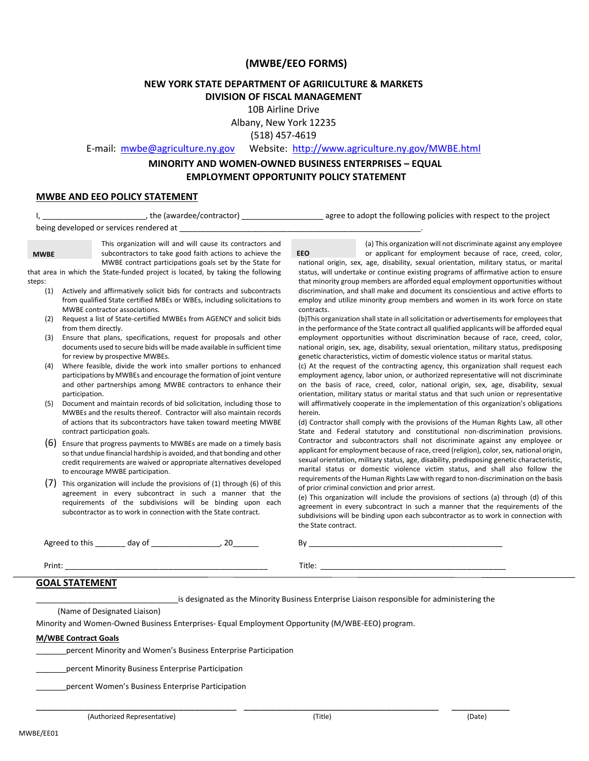#### **(MWBE/EEO FORMS)**

#### **NEW YORK STATE DEPARTMENT OF AGRIICULTURE & MARKETS DIVISION OF FISCAL MANAGEMENT**

10B Airline Drive

Albany, New York 12235

(518) 457-4619

E-mail: [mwbe@agriculture.ny.gov](mailto:mwbe@agriculture.ny.gov) Website: <http://www.agriculture.ny.gov/MWBE.html>

#### **MINORITY AND WOMEN-OWNED BUSINESS ENTERPRISES – EQUAL EMPLOYMENT OPPORTUNITY POLICY STATEMENT**

#### **MWBE AND EEO POLICY STATEMENT**

| MWBE contractor associations.<br>from them directly.<br>for review by prospective MWBEs.<br>MWBEs and the results thereof. Contractor will also maintain records | being developed or services rendered at<br>This organization will and will cause its contractors and<br>subcontractors to take good faith actions to achieve the<br>MWBE contract participations goals set by the State for<br>that area in which the State-funded project is located, by taking the following<br>Actively and affirmatively solicit bids for contracts and subcontracts<br>from qualified State certified MBEs or WBEs, including solicitations to<br>Request a list of State-certified MWBEs from AGENCY and solicit bids<br>Ensure that plans, specifications, request for proposals and other<br>documents used to secure bids will be made available in sufficient time<br>Where feasible, divide the work into smaller portions to enhanced<br>participations by MWBEs and encourage the formation of joint venture<br>and other partnerships among MWBE contractors to enhance their<br>Document and maintain records of bid solicitation, including those to | (a) This organization will not discriminate against any employee<br><b>EEO</b><br>or applicant for employment because of race, creed, color,<br>national origin, sex, age, disability, sexual orientation, military status, or marital<br>status, will undertake or continue existing programs of affirmative action to ensure<br>that minority group members are afforded equal employment opportunities without<br>discrimination, and shall make and document its conscientious and active efforts to<br>employ and utilize minority group members and women in its work force on state<br>contracts.<br>(b) This organization shall state in all solicitation or advertisements for employees that<br>in the performance of the State contract all qualified applicants will be afforded equal<br>employment opportunities without discrimination because of race, creed, color,<br>national origin, sex, age, disability, sexual orientation, military status, predisposing<br>genetic characteristics, victim of domestic violence status or marital status.<br>(c) At the request of the contracting agency, this organization shall request each<br>employment agency, labor union, or authorized representative will not discriminate<br>on the basis of race, creed, color, national origin, sex, age, disability, sexual<br>orientation, military status or marital status and that such union or representative<br>will affirmatively cooperate in the implementation of this organization's obligations<br>herein. |
|------------------------------------------------------------------------------------------------------------------------------------------------------------------|--------------------------------------------------------------------------------------------------------------------------------------------------------------------------------------------------------------------------------------------------------------------------------------------------------------------------------------------------------------------------------------------------------------------------------------------------------------------------------------------------------------------------------------------------------------------------------------------------------------------------------------------------------------------------------------------------------------------------------------------------------------------------------------------------------------------------------------------------------------------------------------------------------------------------------------------------------------------------------------|---------------------------------------------------------------------------------------------------------------------------------------------------------------------------------------------------------------------------------------------------------------------------------------------------------------------------------------------------------------------------------------------------------------------------------------------------------------------------------------------------------------------------------------------------------------------------------------------------------------------------------------------------------------------------------------------------------------------------------------------------------------------------------------------------------------------------------------------------------------------------------------------------------------------------------------------------------------------------------------------------------------------------------------------------------------------------------------------------------------------------------------------------------------------------------------------------------------------------------------------------------------------------------------------------------------------------------------------------------------------------------------------------------------------------------------------------------------------------------------------------------------------------------|
|                                                                                                                                                                  |                                                                                                                                                                                                                                                                                                                                                                                                                                                                                                                                                                                                                                                                                                                                                                                                                                                                                                                                                                                      |                                                                                                                                                                                                                                                                                                                                                                                                                                                                                                                                                                                                                                                                                                                                                                                                                                                                                                                                                                                                                                                                                                                                                                                                                                                                                                                                                                                                                                                                                                                                 |
|                                                                                                                                                                  |                                                                                                                                                                                                                                                                                                                                                                                                                                                                                                                                                                                                                                                                                                                                                                                                                                                                                                                                                                                      |                                                                                                                                                                                                                                                                                                                                                                                                                                                                                                                                                                                                                                                                                                                                                                                                                                                                                                                                                                                                                                                                                                                                                                                                                                                                                                                                                                                                                                                                                                                                 |
|                                                                                                                                                                  |                                                                                                                                                                                                                                                                                                                                                                                                                                                                                                                                                                                                                                                                                                                                                                                                                                                                                                                                                                                      |                                                                                                                                                                                                                                                                                                                                                                                                                                                                                                                                                                                                                                                                                                                                                                                                                                                                                                                                                                                                                                                                                                                                                                                                                                                                                                                                                                                                                                                                                                                                 |
|                                                                                                                                                                  |                                                                                                                                                                                                                                                                                                                                                                                                                                                                                                                                                                                                                                                                                                                                                                                                                                                                                                                                                                                      |                                                                                                                                                                                                                                                                                                                                                                                                                                                                                                                                                                                                                                                                                                                                                                                                                                                                                                                                                                                                                                                                                                                                                                                                                                                                                                                                                                                                                                                                                                                                 |
|                                                                                                                                                                  |                                                                                                                                                                                                                                                                                                                                                                                                                                                                                                                                                                                                                                                                                                                                                                                                                                                                                                                                                                                      |                                                                                                                                                                                                                                                                                                                                                                                                                                                                                                                                                                                                                                                                                                                                                                                                                                                                                                                                                                                                                                                                                                                                                                                                                                                                                                                                                                                                                                                                                                                                 |
|                                                                                                                                                                  |                                                                                                                                                                                                                                                                                                                                                                                                                                                                                                                                                                                                                                                                                                                                                                                                                                                                                                                                                                                      |                                                                                                                                                                                                                                                                                                                                                                                                                                                                                                                                                                                                                                                                                                                                                                                                                                                                                                                                                                                                                                                                                                                                                                                                                                                                                                                                                                                                                                                                                                                                 |
|                                                                                                                                                                  |                                                                                                                                                                                                                                                                                                                                                                                                                                                                                                                                                                                                                                                                                                                                                                                                                                                                                                                                                                                      |                                                                                                                                                                                                                                                                                                                                                                                                                                                                                                                                                                                                                                                                                                                                                                                                                                                                                                                                                                                                                                                                                                                                                                                                                                                                                                                                                                                                                                                                                                                                 |
| contract participation goals.                                                                                                                                    | of actions that its subcontractors have taken toward meeting MWBE                                                                                                                                                                                                                                                                                                                                                                                                                                                                                                                                                                                                                                                                                                                                                                                                                                                                                                                    | (d) Contractor shall comply with the provisions of the Human Rights Law, all other<br>State and Federal statutory and constitutional non-discrimination provisions.                                                                                                                                                                                                                                                                                                                                                                                                                                                                                                                                                                                                                                                                                                                                                                                                                                                                                                                                                                                                                                                                                                                                                                                                                                                                                                                                                             |
| to encourage MWBE participation.                                                                                                                                 | Ensure that progress payments to MWBEs are made on a timely basis<br>so that undue financial hardship is avoided, and that bonding and other<br>credit requirements are waived or appropriate alternatives developed                                                                                                                                                                                                                                                                                                                                                                                                                                                                                                                                                                                                                                                                                                                                                                 | Contractor and subcontractors shall not discriminate against any employee or<br>applicant for employment because of race, creed (religion), color, sex, national origin,<br>sexual orientation, military status, age, disability, predisposing genetic characteristic,<br>marital status or domestic violence victim status, and shall also follow the                                                                                                                                                                                                                                                                                                                                                                                                                                                                                                                                                                                                                                                                                                                                                                                                                                                                                                                                                                                                                                                                                                                                                                          |
|                                                                                                                                                                  |                                                                                                                                                                                                                                                                                                                                                                                                                                                                                                                                                                                                                                                                                                                                                                                                                                                                                                                                                                                      | requirements of the Human Rights Law with regard to non-discrimination on the basis<br>of prior criminal conviction and prior arrest.<br>(e) This organization will include the provisions of sections (a) through (d) of this<br>agreement in every subcontract in such a manner that the requirements of the<br>subdivisions will be binding upon each subcontractor as to work in connection with<br>the State contract.                                                                                                                                                                                                                                                                                                                                                                                                                                                                                                                                                                                                                                                                                                                                                                                                                                                                                                                                                                                                                                                                                                     |
|                                                                                                                                                                  |                                                                                                                                                                                                                                                                                                                                                                                                                                                                                                                                                                                                                                                                                                                                                                                                                                                                                                                                                                                      | By the contract of the contract of the contract of the contract of the contract of the contract of the contract of the contract of the contract of the contract of the contract of the contract of the contract of the contrac                                                                                                                                                                                                                                                                                                                                                                                                                                                                                                                                                                                                                                                                                                                                                                                                                                                                                                                                                                                                                                                                                                                                                                                                                                                                                                  |
|                                                                                                                                                                  |                                                                                                                                                                                                                                                                                                                                                                                                                                                                                                                                                                                                                                                                                                                                                                                                                                                                                                                                                                                      |                                                                                                                                                                                                                                                                                                                                                                                                                                                                                                                                                                                                                                                                                                                                                                                                                                                                                                                                                                                                                                                                                                                                                                                                                                                                                                                                                                                                                                                                                                                                 |
| <b>GOAL STATEMENT</b>                                                                                                                                            |                                                                                                                                                                                                                                                                                                                                                                                                                                                                                                                                                                                                                                                                                                                                                                                                                                                                                                                                                                                      | This organization will include the provisions of (1) through (6) of this<br>agreement in every subcontract in such a manner that the<br>requirements of the subdivisions will be binding upon each<br>subcontractor as to work in connection with the State contract.                                                                                                                                                                                                                                                                                                                                                                                                                                                                                                                                                                                                                                                                                                                                                                                                                                                                                                                                                                                                                                                                                                                                                                                                                                                           |

(Name of Designated Liaison)

Minority and Women-Owned Business Enterprises- Equal Employment Opportunity (M/WBE-EEO) program.

#### **M/WBE Contract Goals**

\_\_\_\_\_\_\_percent Minority and Women's Business Enterprise Participation

\_\_\_\_\_\_\_percent Minority Business Enterprise Participation

\_\_\_\_\_\_\_percent Women's Business Enterprise Participation

(Authorized Representative) (Title) (Date)

\_\_\_\_\_\_\_\_\_\_\_\_\_\_\_\_\_\_\_\_\_\_\_\_\_\_\_\_\_\_\_\_\_\_\_\_\_\_ \_\_\_\_\_\_\_\_\_\_\_\_\_\_\_\_\_\_\_\_\_\_\_\_\_\_\_\_\_\_\_\_\_\_\_\_\_ \_\_\_\_\_\_\_\_\_\_\_

s: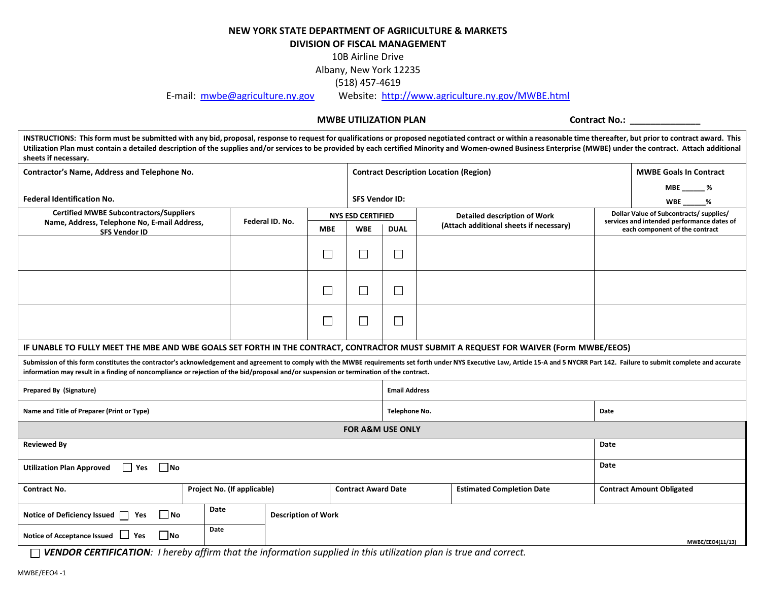#### **NEW YORK STATE DEPARTMENT OF AGRIICULTURE & MARKETS DIVISION OF FISCAL MANAGEMENT**

10B Airline Drive

Albany, New York 12235

(518) 457-4619

E-mail: [mwbe@agriculture.ny.gov](mailto:mwbe@agriculture.ny.gov) Website: <http://www.agriculture.ny.gov/MWBE.html>

#### **MWBE UTILIZATION PLAN CONTRACT CONTRACT NO.:**

INSTRUCTIONS: This form must be submitted with any bid, proposal, response to request for qualifications or proposed negotiated contract or within a reasonable time thereafter, but prior to contract award. This Utilization Plan must contain a detailed description of the supplies and/or services to be provided by each certified Minority and Women-owned Business Enterprise (MWBE) under the contract. Attach additional **sheets if necessary.**

| Contractor's Name, Address and Telephone No.                                                                                                                                                                                                                                                                                                                              |                             |                            |                             |                             | <b>Contract Description Location (Region)</b> |      | <b>MWBE Goals In Contract</b>                                                         |
|---------------------------------------------------------------------------------------------------------------------------------------------------------------------------------------------------------------------------------------------------------------------------------------------------------------------------------------------------------------------------|-----------------------------|----------------------------|-----------------------------|-----------------------------|-----------------------------------------------|------|---------------------------------------------------------------------------------------|
|                                                                                                                                                                                                                                                                                                                                                                           |                             |                            |                             |                             |                                               |      | MBE %                                                                                 |
| <b>Federal Identification No.</b>                                                                                                                                                                                                                                                                                                                                         |                             |                            |                             | <b>SFS Vendor ID:</b>       |                                               |      | WBE %                                                                                 |
| <b>Certified MWBE Subcontractors/Suppliers</b>                                                                                                                                                                                                                                                                                                                            |                             | Federal ID. No.            | <b>NYS ESD CERTIFIED</b>    |                             | <b>Detailed description of Work</b>           |      | Dollar Value of Subcontracts/ supplies/<br>services and intended performance dates of |
| Name, Address, Telephone No, E-mail Address,<br><b>SFS Vendor ID</b>                                                                                                                                                                                                                                                                                                      |                             |                            | <b>WBE</b><br><b>MBE</b>    | <b>DUAL</b>                 | (Attach additional sheets if necessary)       |      | each component of the contract                                                        |
|                                                                                                                                                                                                                                                                                                                                                                           |                             |                            |                             |                             |                                               |      |                                                                                       |
|                                                                                                                                                                                                                                                                                                                                                                           |                             | $\mathbf{L}$               | $\sim$                      | └                           |                                               |      |                                                                                       |
|                                                                                                                                                                                                                                                                                                                                                                           |                             | $\mathbf{L}$               | $\sim$                      | $\Box$                      |                                               |      |                                                                                       |
|                                                                                                                                                                                                                                                                                                                                                                           |                             |                            |                             |                             |                                               |      |                                                                                       |
|                                                                                                                                                                                                                                                                                                                                                                           |                             | $\Box$                     | $\mathcal{L}_{\mathcal{A}}$ | $\Box$                      |                                               |      |                                                                                       |
|                                                                                                                                                                                                                                                                                                                                                                           |                             |                            |                             |                             |                                               |      |                                                                                       |
| IF UNABLE TO FULLY MEET THE MBE AND WBE GOALS SET FORTH IN THE CONTRACT, CONTRACTOR MUST SUBMIT A REQUEST FOR WAIVER (Form MWBE/EEO5)                                                                                                                                                                                                                                     |                             |                            |                             |                             |                                               |      |                                                                                       |
| Submission of this form constitutes the contractor's acknowledgement and agreement to comply with the MWBE requirements set forth under NYS Executive Law, Article 15-A and 5 NYCRR Part 142. Failure to submit complete and a<br>information may result in a finding of noncompliance or rejection of the bid/proposal and/or suspension or termination of the contract. |                             |                            |                             |                             |                                               |      |                                                                                       |
| Prepared By (Signature)                                                                                                                                                                                                                                                                                                                                                   |                             |                            |                             | <b>Email Address</b>        |                                               |      |                                                                                       |
| Name and Title of Preparer (Print or Type)                                                                                                                                                                                                                                                                                                                                |                             |                            |                             | Telephone No.               |                                               | Date |                                                                                       |
|                                                                                                                                                                                                                                                                                                                                                                           |                             |                            |                             | <b>FOR A&amp;M USE ONLY</b> |                                               |      |                                                                                       |
| <b>Reviewed By</b>                                                                                                                                                                                                                                                                                                                                                        |                             |                            |                             |                             |                                               | Date |                                                                                       |
| $\n  No\n$<br>$\Box$ Yes<br><b>Utilization Plan Approved</b>                                                                                                                                                                                                                                                                                                              |                             |                            |                             |                             |                                               | Date |                                                                                       |
| <b>Contract No.</b>                                                                                                                                                                                                                                                                                                                                                       | Project No. (If applicable) |                            | <b>Contract Award Date</b>  |                             | <b>Estimated Completion Date</b>              |      | <b>Contract Amount Obligated</b>                                                      |
| No<br>Notice of Deficiency Issued   Yes                                                                                                                                                                                                                                                                                                                                   | Date                        | <b>Description of Work</b> |                             |                             |                                               |      |                                                                                       |
| l Ino<br>Notice of Acceptance Issued   Yes                                                                                                                                                                                                                                                                                                                                | Date                        |                            |                             |                             |                                               |      | MWBE/EEO4(11/13)                                                                      |

*VENDOR CERTIFICATION: I hereby affirm that the information supplied in this utilization plan is true and correct.*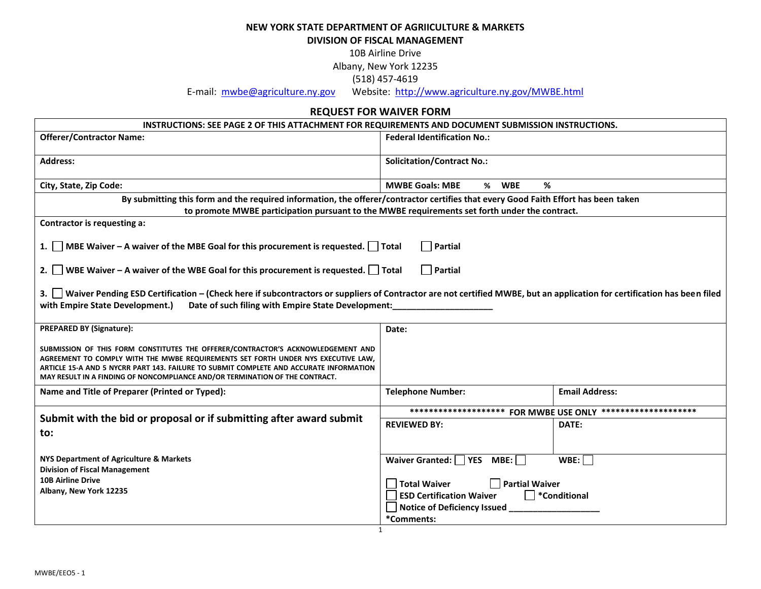**NEW YORK STATE DEPARTMENT OF AGRIICULTURE & MARKETS**

**DIVISION OF FISCAL MANAGEMENT**

10B Airline Drive

Albany, New York 12235

(518) 457-4619

E-mail: [mwbe@agriculture.ny.gov](mailto:mwbe@agriculture.ny.gov) Website: <http://www.agriculture.ny.gov/MWBE.html>

### **REQUEST FOR WAIVER FORM**

| INSTRUCTIONS: SEE PAGE 2 OF THIS ATTACHMENT FOR REQUIREMENTS AND DOCUMENT SUBMISSION INSTRUCTIONS.                                                                                                                                                                                                                                              |                                              |                                                              |
|-------------------------------------------------------------------------------------------------------------------------------------------------------------------------------------------------------------------------------------------------------------------------------------------------------------------------------------------------|----------------------------------------------|--------------------------------------------------------------|
| <b>Offerer/Contractor Name:</b>                                                                                                                                                                                                                                                                                                                 | <b>Federal Identification No.:</b>           |                                                              |
| <b>Address:</b>                                                                                                                                                                                                                                                                                                                                 | <b>Solicitation/Contract No.:</b>            |                                                              |
| City, State, Zip Code:                                                                                                                                                                                                                                                                                                                          | <b>MWBE Goals: MBE</b><br>% WBE<br>%         |                                                              |
| By submitting this form and the required information, the offerer/contractor certifies that every Good Faith Effort has been taken                                                                                                                                                                                                              |                                              |                                                              |
| to promote MWBE participation pursuant to the MWBE requirements set forth under the contract.                                                                                                                                                                                                                                                   |                                              |                                                              |
| Contractor is requesting a:                                                                                                                                                                                                                                                                                                                     |                                              |                                                              |
| 1.   MBE Waiver - A waiver of the MBE Goal for this procurement is requested.   Total                                                                                                                                                                                                                                                           | $\Box$ Partial                               |                                                              |
| 2. WBE Waiver – A waiver of the WBE Goal for this procurement is requested. $\Box$ Total                                                                                                                                                                                                                                                        | $\Box$ Partial                               |                                                              |
| 3. Vaiver Pending ESD Certification – (Check here if subcontractors or suppliers of Contractor are not certified MWBE, but an application for certification has been filed<br>with Empire State Development.)<br>Date of such filing with Empire State Development:                                                                             |                                              |                                                              |
| <b>PREPARED BY (Signature):</b>                                                                                                                                                                                                                                                                                                                 | Date:                                        |                                                              |
| SUBMISSION OF THIS FORM CONSTITUTES THE OFFERER/CONTRACTOR'S ACKNOWLEDGEMENT AND<br>AGREEMENT TO COMPLY WITH THE MWBE REQUIREMENTS SET FORTH UNDER NYS EXECUTIVE LAW,<br>ARTICLE 15-A AND 5 NYCRR PART 143. FAILURE TO SUBMIT COMPLETE AND ACCURATE INFORMATION<br>MAY RESULT IN A FINDING OF NONCOMPLIANCE AND/OR TERMINATION OF THE CONTRACT. |                                              |                                                              |
| Name and Title of Preparer (Printed or Typed):                                                                                                                                                                                                                                                                                                  | <b>Telephone Number:</b>                     | <b>Email Address:</b>                                        |
|                                                                                                                                                                                                                                                                                                                                                 |                                              | ******************** FOR MWBE USE ONLY ********************* |
| Submit with the bid or proposal or if submitting after award submit<br>to:                                                                                                                                                                                                                                                                      | <b>REVIEWED BY:</b>                          | DATE:                                                        |
| NYS Department of Agriculture & Markets<br><b>Division of Fiscal Management</b>                                                                                                                                                                                                                                                                 | Waiver Granted: $\Box$ YES MBE: $\Box$       | WBE:                                                         |
| <b>10B Airline Drive</b>                                                                                                                                                                                                                                                                                                                        | $\Box$ Partial Waiver<br><b>Total Waiver</b> |                                                              |
| Albany, New York 12235                                                                                                                                                                                                                                                                                                                          | <b>ESD Certification Waiver</b>              | $\Box$ *Conditional                                          |
|                                                                                                                                                                                                                                                                                                                                                 | Notice of Deficiency Issued                  |                                                              |
|                                                                                                                                                                                                                                                                                                                                                 | *Comments:                                   |                                                              |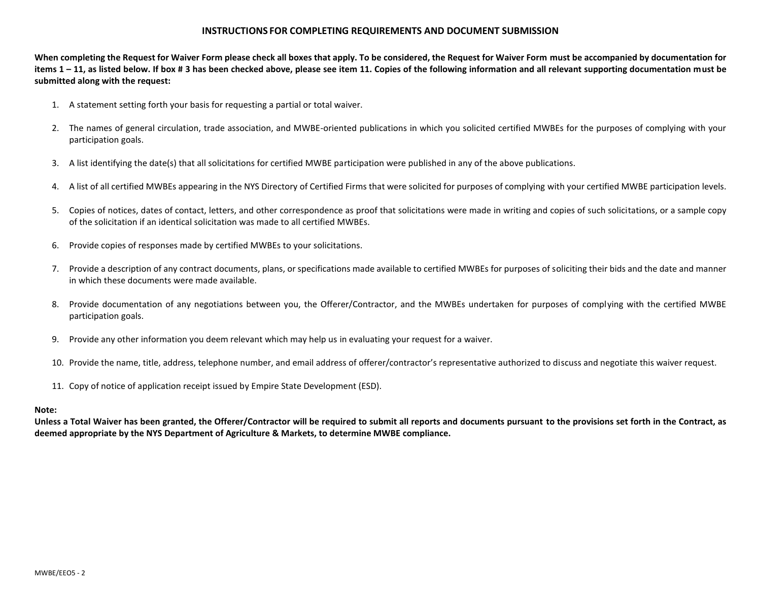#### **INSTRUCTIONS FOR COMPLETING REQUIREMENTS AND DOCUMENT SUBMISSION**

**When completing the Request for Waiver Form please check all boxes that apply. To be considered, the Request for Waiver Form must be accompanied by documentation for items 1 – 11, as listed below. If box # 3 has been checked above, please see item 11. Copies of the following information and all relevant supporting documentation must be submitted along with the request:**

- 1. A statement setting forth your basis for requesting a partial or total waiver.
- 2. The names of general circulation, trade association, and MWBE-oriented publications in which you solicited certified MWBEs for the purposes of complying with your participation goals.
- 3. A list identifying the date(s) that all solicitations for certified MWBE participation were published in any of the above publications.
- 4. A list of all certified MWBEs appearing in the NYS Directory of Certified Firms that were solicited for purposes of complying with your certified MWBE participation levels.
- 5. Copies of notices, dates of contact, letters, and other correspondence as proof that solicitations were made in writing and copies of such solicitations, or a sample copy of the solicitation if an identical solicitation was made to all certified MWBEs.
- 6. Provide copies of responses made by certified MWBEs to your solicitations.
- 7. Provide a description of any contract documents, plans, or specifications made available to certified MWBEs for purposes of soliciting their bids and the date and manner in which these documents were made available.
- 8. Provide documentation of any negotiations between you, the Offerer/Contractor, and the MWBEs undertaken for purposes of complying with the certified MWBE participation goals.
- 9. Provide any other information you deem relevant which may help us in evaluating your request for a waiver.
- 10. Provide the name, title, address, telephone number, and email address of offerer/contractor's representative authorized to discuss and negotiate this waiver request.
- 11. Copy of notice of application receipt issued by Empire State Development (ESD).

#### **Note:**

**Unless a Total Waiver has been granted, the Offerer/Contractor will be required to submit all reports and documents pursuant to the provisions set forth in the Contract, as deemed appropriate by the NYS Department of Agriculture & Markets, to determine MWBE compliance.**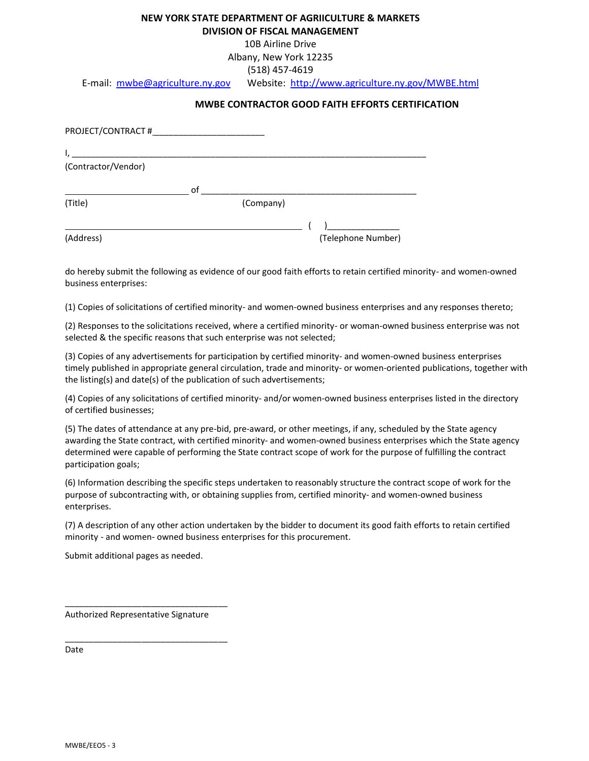## **NEW YORK STATE DEPARTMENT OF AGRIICULTURE & MARKETS**

**DIVISION OF FISCAL MANAGEMENT**

10B Airline Drive

Albany, New York 12235

(518) 457-4619

E-mail: [mwbe@agriculture.ny.gov](mailto:mwbe@agriculture.ny.gov) Website: <http://www.agriculture.ny.gov/MWBE.html>

#### **MWBE CONTRACTOR GOOD FAITH EFFORTS CERTIFICATION**

| PROJECT/CONTRACT #                                          |    |           |                    |
|-------------------------------------------------------------|----|-----------|--------------------|
| the control of the control of the control of the control of |    |           |                    |
| (Contractor/Vendor)                                         |    |           |                    |
|                                                             | 0f |           |                    |
| (Title)                                                     |    | (Company) |                    |
|                                                             |    |           |                    |
| (Address)                                                   |    |           | (Telephone Number) |

do hereby submit the following as evidence of our good faith efforts to retain certified minority- and women-owned business enterprises:

(1) Copies of solicitations of certified minority- and women-owned business enterprises and any responses thereto;

(2) Responses to the solicitations received, where a certified minority- or woman-owned business enterprise was not selected & the specific reasons that such enterprise was not selected;

(3) Copies of any advertisements for participation by certified minority- and women-owned business enterprises timely published in appropriate general circulation, trade and minority- or women-oriented publications, together with the listing(s) and date(s) of the publication of such advertisements;

(4) Copies of any solicitations of certified minority- and/or women-owned business enterprises listed in the directory of certified businesses;

(5) The dates of attendance at any pre-bid, pre-award, or other meetings, if any, scheduled by the State agency awarding the State contract, with certified minority- and women-owned business enterprises which the State agency determined were capable of performing the State contract scope of work for the purpose of fulfilling the contract participation goals;

(6) Information describing the specific steps undertaken to reasonably structure the contract scope of work for the purpose of subcontracting with, or obtaining supplies from, certified minority- and women-owned business enterprises.

(7) A description of any other action undertaken by the bidder to document its good faith efforts to retain certified minority - and women- owned business enterprises for this procurement.

Submit additional pages as needed.

Authorized Representative Signature

\_\_\_\_\_\_\_\_\_\_\_\_\_\_\_\_\_\_\_\_\_\_\_\_\_\_\_\_\_\_\_\_\_\_

\_\_\_\_\_\_\_\_\_\_\_\_\_\_\_\_\_\_\_\_\_\_\_\_\_\_\_\_\_\_\_\_\_\_

Date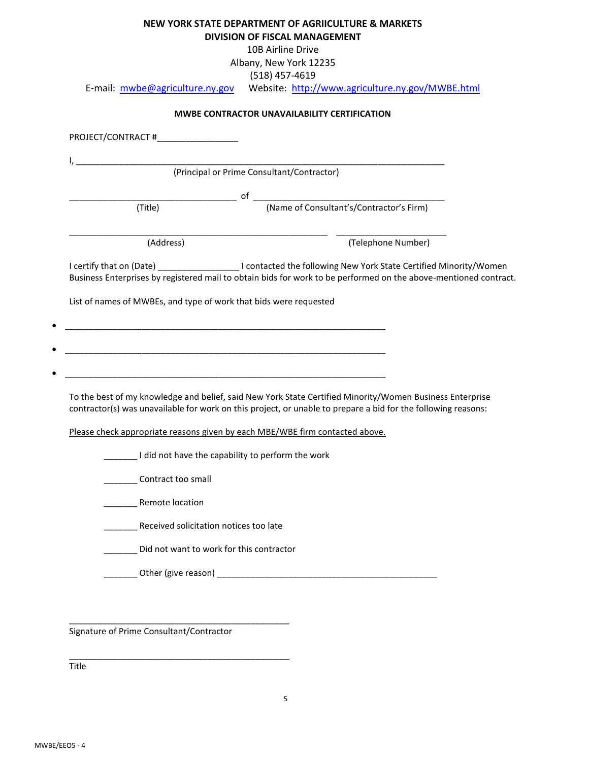| NEW YORK STATE DEPARTMENT OF AGRIICULTURE & MARKETS |
|-----------------------------------------------------|
| DIVISION OF FISCAL MANAGEMENT                       |

10B Airline Drive

Albany, New York 12235

(518) 457-4619

E-mail: [mwbe@agriculture.ny.gov](mailto:mwbe@agriculture.ny.gov) Website: <http://www.agriculture.ny.gov/MWBE.html>

| (Title)                                                           |                                                                                                                                                                                                                                       |
|-------------------------------------------------------------------|---------------------------------------------------------------------------------------------------------------------------------------------------------------------------------------------------------------------------------------|
| (Address)                                                         | (Telephone Number)                                                                                                                                                                                                                    |
|                                                                   | I certify that on (Date) _______________________I contacted the following New York State Certified Minority/Women<br>Business Enterprises by registered mail to obtain bids for work to be performed on the above-mentioned contract. |
| List of names of MWBEs, and type of work that bids were requested |                                                                                                                                                                                                                                       |
|                                                                   |                                                                                                                                                                                                                                       |
|                                                                   |                                                                                                                                                                                                                                       |
|                                                                   |                                                                                                                                                                                                                                       |
|                                                                   |                                                                                                                                                                                                                                       |
|                                                                   |                                                                                                                                                                                                                                       |
|                                                                   | To the best of my knowledge and belief, said New York State Certified Minority/Women Business Enterprise<br>contractor(s) was unavailable for work on this project, or unable to prepare a bid for the following reasons:             |
|                                                                   | Please check appropriate reasons given by each MBE/WBE firm contacted above.                                                                                                                                                          |
|                                                                   | I did not have the capability to perform the work                                                                                                                                                                                     |
| Contract too small                                                |                                                                                                                                                                                                                                       |
| <b>Remote location</b>                                            |                                                                                                                                                                                                                                       |
| Received solicitation notices too late                            |                                                                                                                                                                                                                                       |
| Did not want to work for this contractor                          |                                                                                                                                                                                                                                       |

Signature of Prime Consultant/Contractor

\_\_\_\_\_\_\_\_\_\_\_\_\_\_\_\_\_\_\_\_\_\_\_\_\_\_\_\_\_\_\_\_\_\_\_\_\_\_\_\_\_\_\_\_\_\_

\_\_\_\_\_\_\_\_\_\_\_\_\_\_\_\_\_\_\_\_\_\_\_\_\_\_\_\_\_\_\_\_\_\_\_\_\_\_\_\_\_\_\_\_\_\_

Title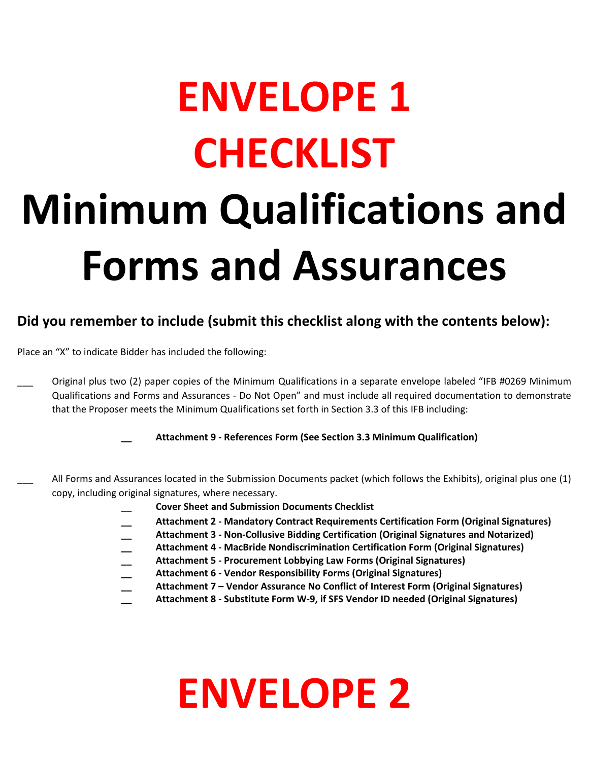# **ENVELOPE 1 CHECKLIST Minimum Qualifications and Forms and Assurances**

# **Did you remember to include (submit this checklist along with the contents below):**

Place an "X" to indicate Bidder has included the following:

Original plus two (2) paper copies of the Minimum Qualifications in a separate envelope labeled "IFB #0269 Minimum Qualifications and Forms and Assurances - Do Not Open" and must include all required documentation to demonstrate that the Proposer meets the Minimum Qualifications set forth in Section 3.3 of this IFB including:

**\_\_ Attachment 9 - References Form (See Section 3.3 Minimum Qualification)**

- All Forms and Assurances located in the Submission Documents packet (which follows the Exhibits), original plus one (1) copy, including original signatures, where necessary.
	- \_\_ **Cover Sheet and Submission Documents Checklist**
	- **\_\_ Attachment 2 - Mandatory Contract Requirements Certification Form (Original Signatures)**
	- **\_\_ Attachment 3 - Non-Collusive Bidding Certification (Original Signatures and Notarized)**
	- **\_\_ Attachment 4 - MacBride Nondiscrimination Certification Form (Original Signatures)**
	- **\_\_ Attachment 5 - Procurement Lobbying Law Forms (Original Signatures)**
	- **\_\_ Attachment 6 - Vendor Responsibility Forms (Original Signatures)**
	- **\_\_ Attachment 7 – Vendor Assurance No Conflict of Interest Form (Original Signatures)**
	- **\_\_ Attachment 8 - Substitute Form W-9, if SFS Vendor ID needed (Original Signatures)**

# **ENVELOPE 2**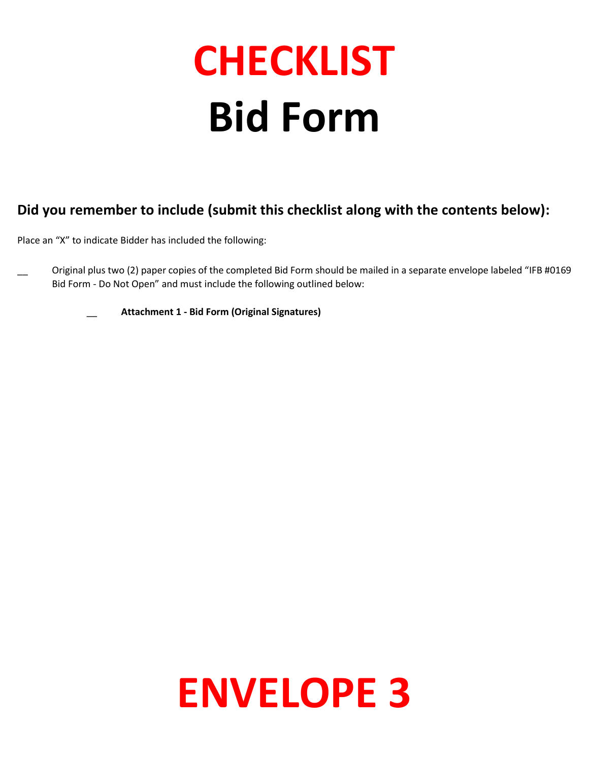# **CHECKLIST Bid Form**

# **Did you remember to include (submit this checklist along with the contents below):**

Place an "X" to indicate Bidder has included the following:

Original plus two (2) paper copies of the completed Bid Form should be mailed in a separate envelope labeled "IFB #0169 Bid Form - Do Not Open" and must include the following outlined below:

\_\_ **Attachment 1 - Bid Form (Original Signatures)**

# **ENVELOPE 3**